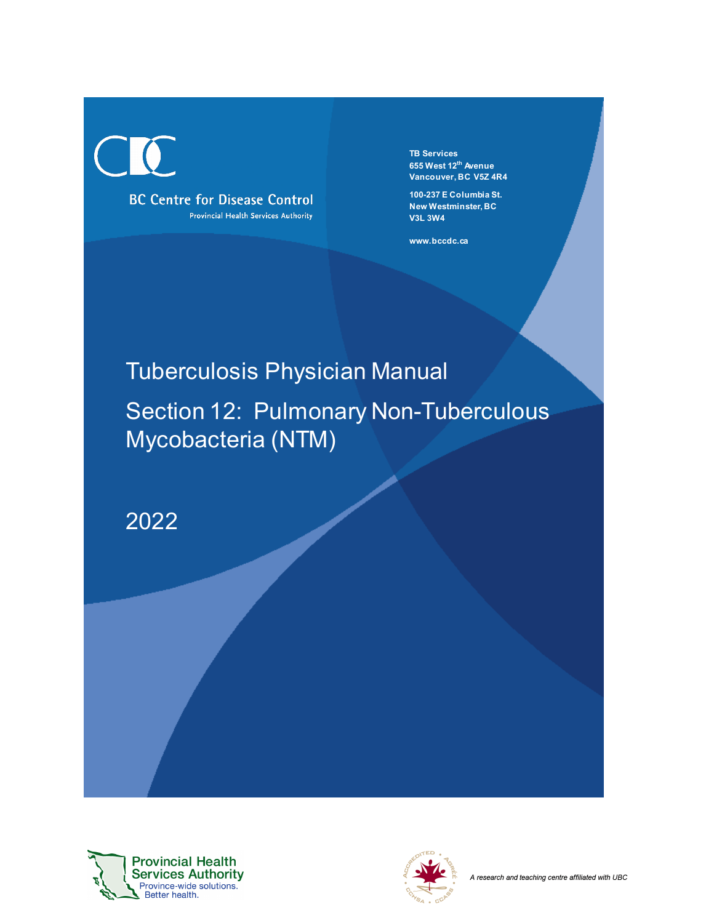$\begin{pmatrix} 1 \\ 1 \end{pmatrix}$ 

**BC Centre for Disease Control** Provincial Health Services Authority **TB Services 655 West 12th Avenue Vancouver, BC V5Z 4R4**

**100-237 E Columbia St. New Westminster, BC V3L 3W4**

**www.bccdc.ca**

# Tuberculosis Physician Manual

Section 12: Pulmonary Non-Tuberculous Mycobacteria (NTM)

2022



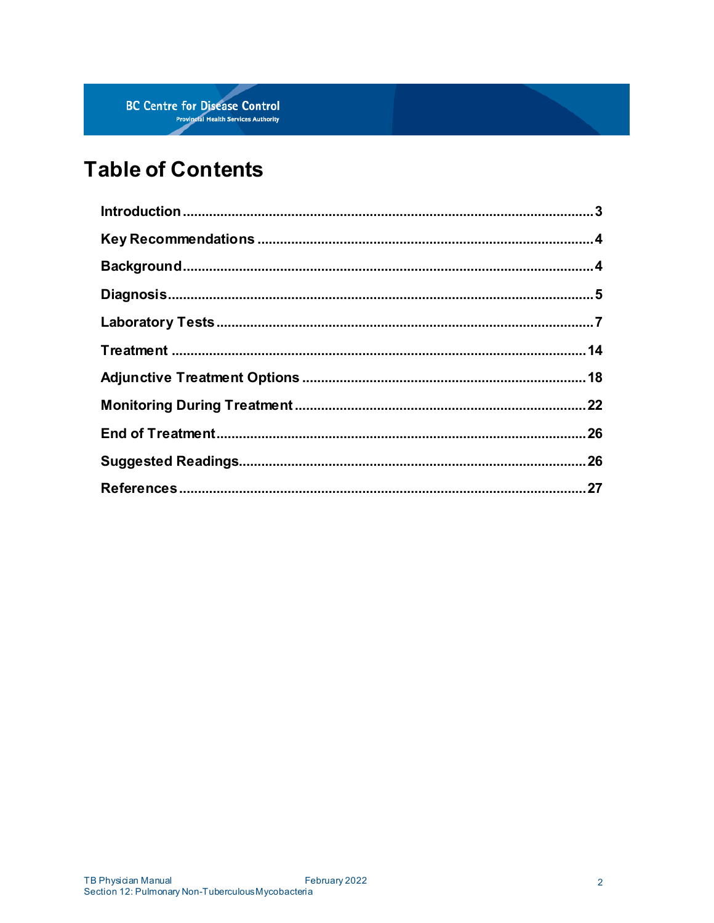# **Table of Contents**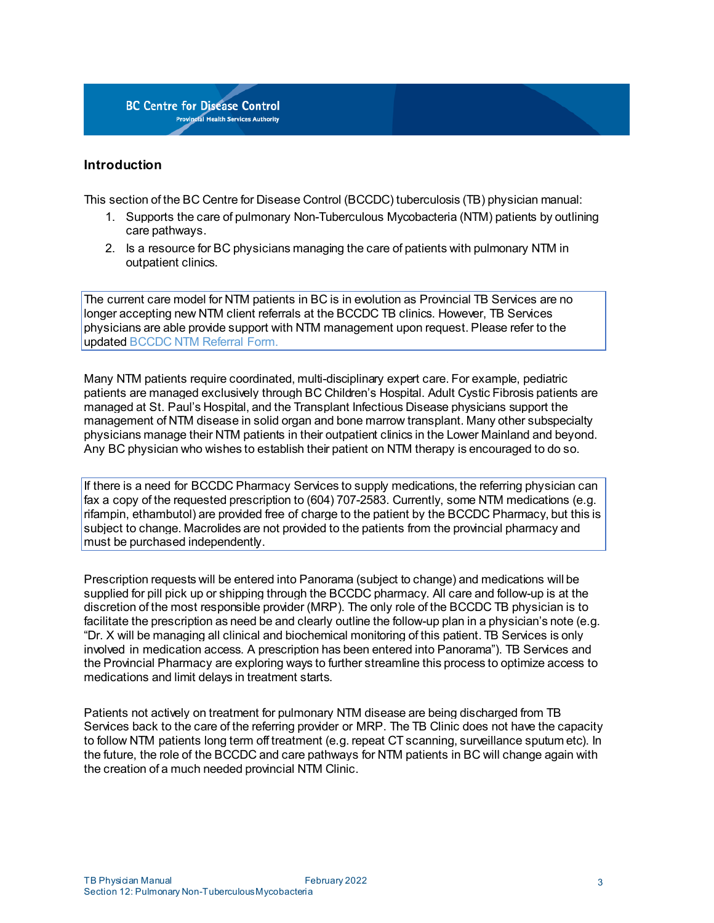#### <span id="page-2-0"></span>**Introduction**

This section of the BC Centre for Disease Control (BCCDC) tuberculosis (TB) physician manual:

- 1. Supports the care of pulmonary Non-Tuberculous Mycobacteria (NTM) patients by outlining care pathways.
- 2. Is a resource for BC physicians managing the care of patients with pulmonary NTM in outpatient clinics.

The current care model for NTM patients in BC is in evolution as Provincial TB Services are no longer accepting new NTM client referrals at the BCCDC TB clinics. However, TB Services physicians are able provide support with NTM management upon request. Please refer to the updated [BCCDC](http://www.bccdc.ca/resource-gallery/Documents/Guidelines%20and%20Forms/Guidelines%20and%20Manuals/TB/Clinic_Referral_NTM%20to%20TBS.pdf) NTM Referral Form.

Many NTM patients require coordinated, multi-disciplinary expert care. For example, pediatric patients are managed exclusively through BC Children's Hospital. Adult Cystic Fibrosis patients are managed at St. Paul's Hospital, and the Transplant Infectious Disease physicians support the management of NTM disease in solid organ and bone marrow transplant. Many other subspecialty physicians manage their NTM patients in their outpatient clinics in the Lower Mainland and beyond. Any BC physician who wishes to establish their patient on NTM therapy is encouraged to do so.

<span id="page-2-2"></span>If there is a need for BCCDC [Pharmacy](http://www.bccdc.ca/health-professionals/professional-resources/vaccine-pharmacy-services) Services to supply medications, the referring physician can fax a copy of the requested prescription to (604) 707-2583. Currently, some NTM medications (e.g. rifampin, ethambutol) are provided free of charge to the patient by the BCCDC Pharmacy, but this is subject to change. Macrolides are not provided to the patients from the provincial pharmacy and must be purchased independently.

Prescription requests will be entered into Panorama (subject to change) and medications will be supplied for pill pick up or shipping through the BCCDC pharmacy. All care and follow-up is at the discretion of the most responsible provider (MRP). The only role of the BCCDC TB physician is to facilitate the prescription as need be and clearly outline the follow-up plan in a physician's note (e.g. "Dr. X will be managing all clinical and biochemical monitoring of this patient. TB Services is only involved in medication access. A prescription has been entered into Panorama"). TB Services and the Provincial Pharmacy are exploring ways to further streamline this process to optimize access to medications and limit delays in treatment starts.

<span id="page-2-1"></span>Patients not actively on treatment for pulmonary NTM disease are being discharged from TB Services back to the care of the referring provider or MRP. The TB Clinic does not have the capacity to follow NTM patients long term off treatment (e.g. repeat CT scanning, surveillance sputum etc). In the future, the role of the BCCDC and care pathways for NTM patients in BC will change again with the creation of a much needed provincial NTM Clinic.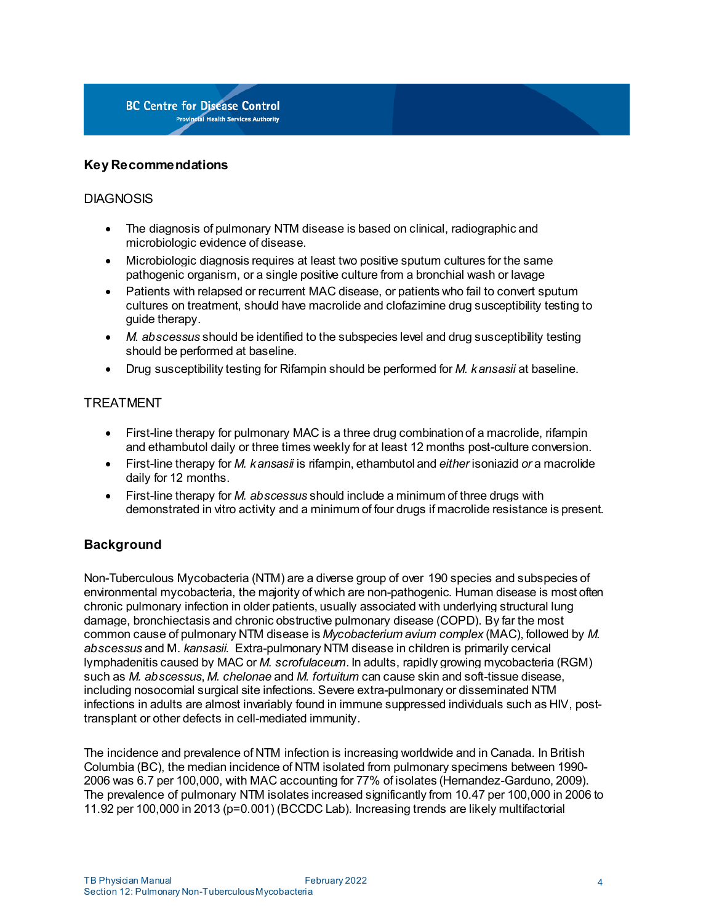## **Key Recommendations**

# **DIAGNOSIS**

- The diagnosis of pulmonary NTM disease is based on clinical, radiographic and microbiologic evidence of disease.
- Microbiologic diagnosis requires at least two positive sputum cultures for the same pathogenic organism, or a single positive culture from a bronchial wash or lavage
- Patients with relapsed or recurrent MAC disease, or patients who fail to convert sputum cultures on treatment, should have macrolide and clofazimine drug susceptibility testing to guide therapy.
- *M. abscessus* should be identified to the subspecies level and drug susceptibility testing should be performed at baseline.
- Drug susceptibility testing for Rifampin should be performed for *M. kansasii* at baseline.

# TREATMENT

- First-line therapy for pulmonary MAC is a three drug combination of a macrolide, rifampin and ethambutol daily or three times weekly for at least 12 months post-culture conversion.
- First-line therapy for *M. kansasii* is rifampin, ethambutol and *either* isoniazid *or* a macrolide daily for 12 months.
- First-line therapy for *M. abscessus* should include a minimum of three drugs with demonstrated in vitro activity and a minimum of four drugs if macrolide resistance is present.

# <span id="page-3-0"></span>**Background**

Non-Tuberculous Mycobacteria (NTM) are a diverse group of over 190 species and subspecies of environmental mycobacteria, the majority of which are non-pathogenic. Human disease is most often chronic pulmonary infection in older patients, usually associated with underlying structural lung damage, bronchiectasis and chronic obstructive pulmonary disease (COPD). By far the most common cause of pulmonary NTM disease is *Mycobacterium avium complex* (MAC), followed by *M. abscessus* and M. *kansasii*. Extra-pulmonary NTM disease in children is primarily cervical lymphadenitis caused by MAC or *M. scrofulaceum*. In adults, rapidly growing mycobacteria (RGM) such as *M. abscessus*, *M. chelonae* and *M. fortuitum* can cause skin and soft-tissue disease, including nosocomial surgical site infections. Severe extra-pulmonary or disseminated NTM infections in adults are almost invariably found in immune suppressed individuals such as HIV, posttransplant or other defects in cell-mediated immunity.

The incidence and prevalence of NTM infection is increasing worldwide and in Canada. In British Columbia (BC), the median incidence of NTM isolated from pulmonary specimens between 1990- 2006 was 6.7 per 100,000, with MAC accounting for 77% of isolates (Hernandez-Garduno, 2009). The prevalence of pulmonary NTM isolates increased significantly from 10.47 per 100,000 in 2006 to 11.92 per 100,000 in 2013 (p=0.001) (BCCDC Lab). Increasing trends are likely multifactorial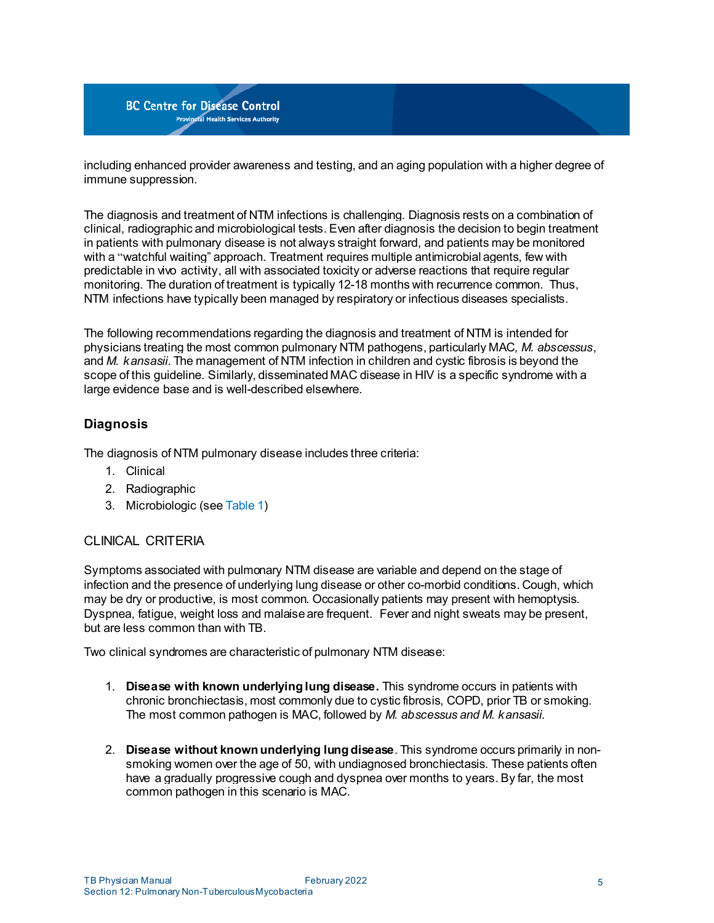including enhanced provider awareness and testing, and an aging population with a higher degree of immune suppression.

The diagnosis and treatment of NTM infections is challenging. Diagnosis rests on a combination of clinical, radiographic and microbiological tests. Even after diagnosis the decision to begin treatment in patients with pulmonary disease is not always straight forward, and patients may be monitored with a "watchful waiting" approach. Treatment requires multiple antimicrobial agents, few with predictable in vivo activity, all with associated toxicity or adverse reactions that require regular monitoring. The duration of treatment is typically 12-18 months with recurrence common. Thus, NTM infections have typically been managed by respiratory or infectious diseases specialists.

The following recommendations regarding the diagnosis and treatment of NTM is intended for physicians treating the most common pulmonary NTM pathogens, particularly MAC*, M. abscessus*, and *M. kansasii*. The management of NTM infection in children and cystic fibrosis is beyond the scope of this guideline. Similarly, disseminated MAC disease in HIV is a specific syndrome with a large evidence base and is well-described elsewhere.

# <span id="page-4-0"></span>**Diagnosis**

The diagnosis of NTM pulmonary disease includes three criteria:

- 1. Clinical
- 2. Radiographic
- 3. Microbiologic (see [Table](#page-6-1) 1)

# CLINICAL CRITERIA

Symptoms associated with pulmonary NTM disease are variable and depend on the stage of infection and the presence of underlying lung disease or other co-morbid conditions. Cough, which may be dry or productive, is most common. Occasionally patients may present with hemoptysis. Dyspnea, fatigue, weight loss and malaiseare frequent. Fever and night sweats may be present, but are less common than with TB.

Two clinical syndromes are characteristic of pulmonary NTM disease:

- 1. **Disease with known underlying lung disease.** This syndrome occurs in patients with chronic bronchiectasis, most commonly due to cystic fibrosis, COPD, prior TB or smoking. The most common pathogen is MAC, followed by *M. abscessus and M. kansasii.*
- 2. **Disease without known underlying lung disease**. This syndrome occurs primarily in nonsmoking women over the age of 50, with undiagnosed bronchiectasis. These patients often have a gradually progressive cough and dyspnea over months to years. By far, the most common pathogen in this scenario is MAC.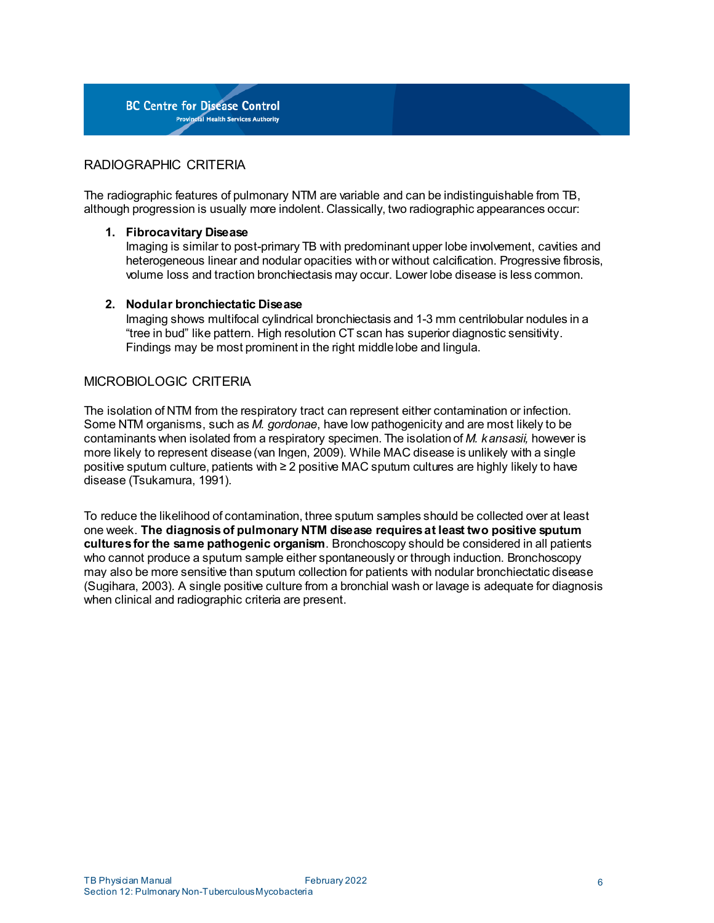

# RADIOGRAPHIC CRITERIA

The radiographic features of pulmonary NTM are variable and can be indistinguishable from TB, although progression is usually more indolent. Classically, two radiographic appearances occur:

#### **1. Fibrocavitary Disease**

Imaging is similar to post-primary TB with predominant upper lobe involvement, cavities and heterogeneous linear and nodular opacities with or without calcification. Progressive fibrosis, volume loss and traction bronchiectasis may occur. Lower lobe disease is less common.

#### **2. Nodular bronchiectatic Disease**

Imaging shows multifocal cylindrical bronchiectasis and 1-3 mm centrilobular nodules in a "tree in bud" like pattern. High resolution CT scan has superior diagnostic sensitivity. Findings may be most prominent in the right middlelobe and lingula.

#### MICROBIOLOGIC CRITERIA

The isolation of NTM from the respiratory tract can represent either contamination or infection. Some NTM organisms, such as *M. gordonae*, have low pathogenicity and are most likely to be contaminants when isolated from a respiratory specimen. The isolationof *M. kansasii,* however is more likely to represent disease(van Ingen, 2009). While MAC disease is unlikely with a single positive sputum culture, patients with ≥ 2 positive MAC sputum cultures are highly likely to have disease (Tsukamura, 1991).

To reduce the likelihood of contamination, three sputum samples should be collected over at least one week. **The diagnosisof pulmonary NTM disease requiresat least two positive sputum culturesfor the same pathogenic organism**. Bronchoscopy should be considered in all patients who cannot produce a sputum sample either spontaneously or through induction. Bronchoscopy may also be more sensitive than sputum collection for patients with nodular bronchiectatic disease (Sugihara, 2003). A single positive culture from a bronchial wash or lavage is adequate for diagnosis when clinical and radiographic criteria are present.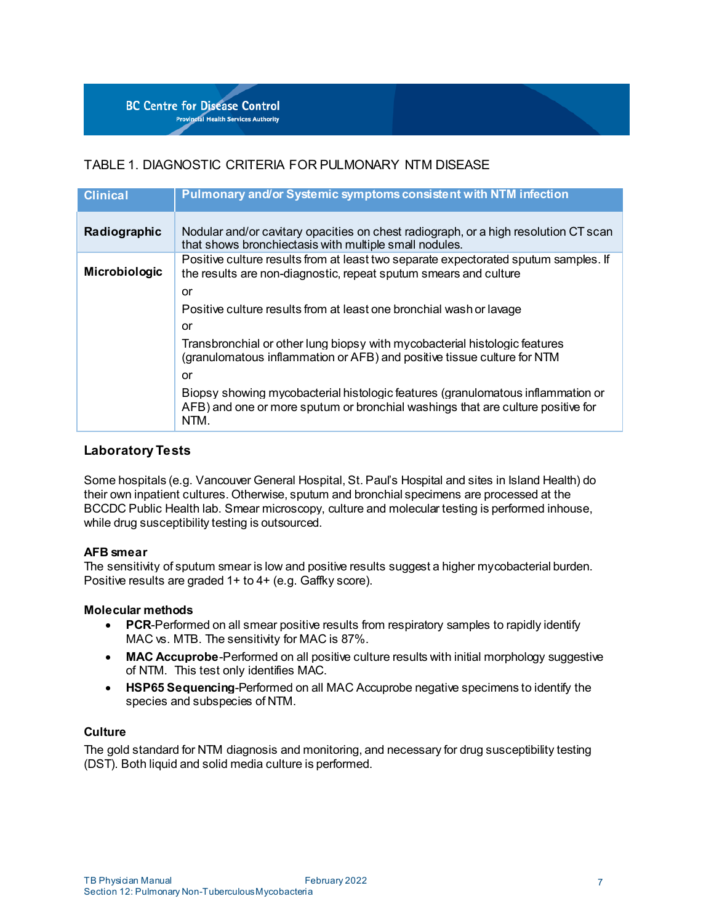# <span id="page-6-1"></span>TABLE 1. DIAGNOSTIC CRITERIA FOR PULMONARY NTM DISEASE

| <b>Clinical</b> | Pulmonary and/or Systemic symptoms consistent with NTM infection                                                                                                           |
|-----------------|----------------------------------------------------------------------------------------------------------------------------------------------------------------------------|
| Radiographic    | Nodular and/or cavitary opacities on chest radiograph, or a high resolution CT scan<br>that shows bronchiectasis with multiple small nodules.                              |
| Microbiologic   | Positive culture results from at least two separate expectorated sputum samples. If<br>the results are non-diagnostic, repeat sputum smears and culture                    |
|                 | or                                                                                                                                                                         |
|                 | Positive culture results from at least one bronchial wash or lavage                                                                                                        |
|                 | or                                                                                                                                                                         |
|                 | Transbronchial or other lung biopsy with mycobacterial histologic features<br>(granulomatous inflammation or AFB) and positive tissue culture for NTM                      |
|                 | or                                                                                                                                                                         |
|                 | Biopsy showing mycobacterial histologic features (granulomatous inflammation or<br>AFB) and one or more sputum or bronchial washings that are culture positive for<br>NTM. |

## <span id="page-6-0"></span>**Laboratory Tests**

Some hospitals (e.g. Vancouver General Hospital, St. Paul's Hospital and sites in Island Health) do their own inpatient cultures. Otherwise, sputum and bronchial specimens are processed at the BCCDC Public Health lab. Smear microscopy, culture and molecular testing is performed inhouse, while drug susceptibility testing is outsourced.

#### **AFB smear**

The sensitivity of sputum smear is low and positive results suggest a higher mycobacterial burden. Positive results are graded 1+ to 4+ (e.g. Gaffky score).

#### **Molecular methods**

- **PCR-Performed on all smear positive results from respiratory samples to rapidly identify** MAC vs. MTB. The sensitivity for MAC is 87%.
- **MAC Accuprobe**-Performed on all positive culture results with initial morphology suggestive of NTM. This test only identifies MAC.
- **HSP65 Sequencing**-Performed on all MAC Accuprobe negative specimens to identify the species and subspecies of NTM.

#### **Culture**

The gold standard for NTM diagnosis and monitoring, and necessary for drug susceptibility testing (DST). Both liquid and solid media culture is performed.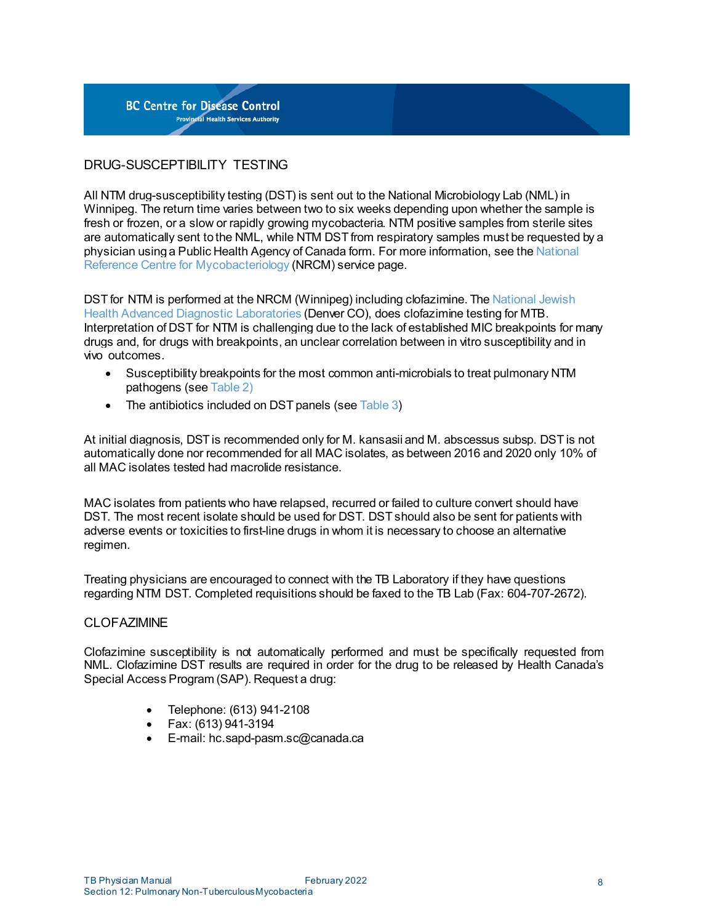

# DRUG-SUSCEPTIBILITY TESTING

All NTM drug-susceptibility testing (DST) is sent out to the National Microbiology Lab (NML) in Winnipeg. The return time varies between two to six weeks depending upon whether the sample is fresh or frozen, or a slow or rapidly growing mycobacteria. NTM positive samples from sterile sites are automatically sent tothe NML, while NTM DST from respiratory samples must be requested by a physician usinga Public Health Agency of Canada form. For more information, see the [National](https://cnphi.canada.ca/gts/laboratory/1004) Reference Centre for [Mycobacteriology](https://cnphi.canada.ca/gts/laboratory/1004) (NRCM) service page.

<span id="page-7-0"></span>DST for NTM is performed at the NRCM (Winnipeg) including clofazimine. The [National](https://www.nationaljewish.org/conditions/ntm-nontuberculous-mycobacteria) Jewish Health Advanced Diagnostic [Laboratories](https://www.nationaljewish.org/conditions/ntm-nontuberculous-mycobacteria) (Denver CO), does clofazimine testing for MTB. Interpretation of DST for NTM is challenging due to the lack of established MIC breakpoints for many drugs and, for drugs with breakpoints, an unclear correlation between in vitro susceptibility and in vivo outcomes.

- Susceptibility breakpoints for the most common anti-microbials to treat pulmonary NTM pathogens (see [Table](#page-10-0) 2)
- The antibiotics included on DST panels (see [Table](#page-12-0) 3)

At initial diagnosis, DST is recommended only for M. kansasii and M. abscessus subsp. DST is not automatically done nor recommended for all MAC isolates, as between 2016 and 2020 only 10% of all MAC isolates tested had macrolide resistance.

MAC isolates from patients who have relapsed, recurred or failed to culture convert should have DST. The most recent isolate should be used for DST. DST should also be sent for patients with adverse events or toxicities to first-line drugs in whom it is necessary to choose an alternative regimen.

Treating physicians are encouraged to connect with the TB Laboratory if they have questions regarding NTM DST. Completed requisitions should be faxed to the TB Lab (Fax: 604-707-2672).

#### **CLOFAZIMINE**

Clofazimine susceptibility is not automatically performed and must be specifically requested from NML. Clofazimine DST results are required in order for the drug to be released by [Health Canada's](https://www.canada.ca/en/health-canada/services/drugs-health-products/special-access/drugs.html)  [Special Access Program](https://www.canada.ca/en/health-canada/services/drugs-health-products/special-access/drugs.html) (SAP). Request a drug:

- Telephone: (613) 941-2108
- Fax: (613) 941-3194
- E-mail[: hc.sapd-pasm.sc@canada.ca](mailto:hc.sapd-pasm.sc@canada.ca)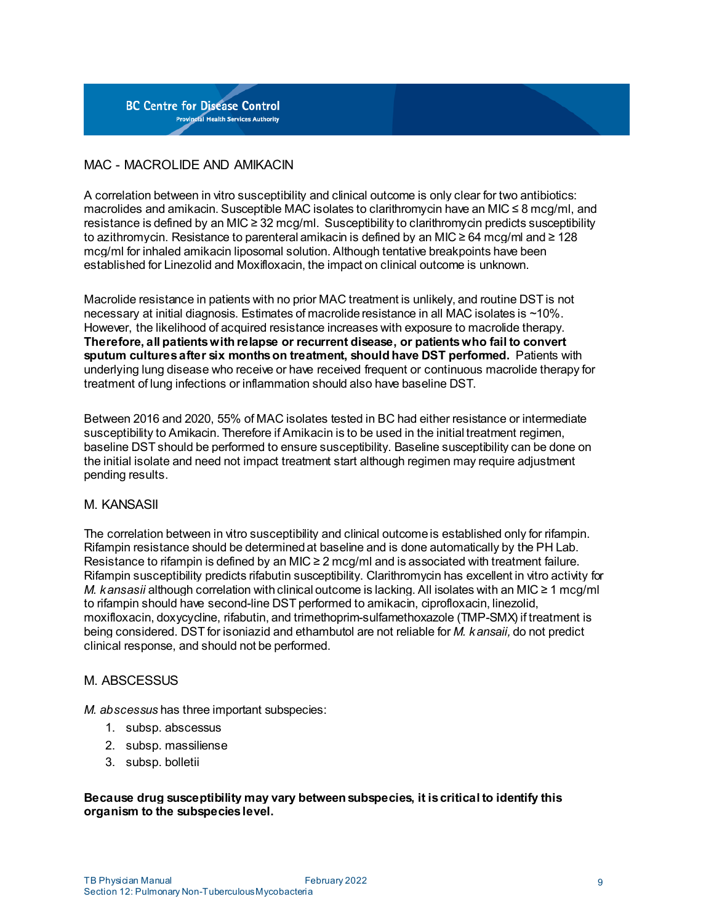

# MAC - MACROLIDE AND AMIKACIN

A correlation between in vitro susceptibility and clinical outcome is only clear for two antibiotics: macrolides and amikacin. Susceptible MAC isolates to clarithromycin have an MIC  $\leq 8$  mcq/ml, and resistance is defined by an MIC ≥ 32 mcg/ml. Susceptibility to clarithromycin predicts susceptibility to azithromycin. Resistance to parenteral amikacin is defined by an MIC ≥ 64 mcg/ml and ≥ 128 mcg/ml for inhaled amikacin liposomal solution. Although tentative breakpoints have been established for Linezolid and Moxifloxacin, the impact on clinical outcome is unknown.

Macrolide resistance in patients with no prior MAC treatment is unlikely, and routine DST is not necessary at initial diagnosis. Estimates of macrolideresistance in all MAC isolates is ~10%. However, the likelihood of acquired resistance increases with exposure to macrolide therapy. **Therefore, all patientswith relapse or recurrent disease, or patientswho fail to convert sputum culturesafter six monthson treatment, should have DST performed.** Patients with underlying lung disease who receive or have received frequent or continuous macrolide therapy for treatment of lung infections or inflammation should also have baseline DST.

Between 2016 and 2020, 55% of MAC isolates tested in BC had either resistance or intermediate susceptibility to Amikacin. Therefore if Amikacin is to be used in the initial treatment regimen, baseline DST should be performed to ensure susceptibility. Baseline susceptibility can be done on the initial isolate and need not impact treatment start although regimen may require adjustment pending results.

#### M. KANSASII

The correlation between in vitro susceptibility and clinical outcomeis established only for rifampin. Rifampin resistance should be determinedat baseline and is done automatically by the PH Lab. Resistance to rifampin is defined by an MIC  $\geq 2 \text{~mod/m}$  and is associated with treatment failure. Rifampin susceptibility predicts rifabutin susceptibility. Clarithromycin has excellent in vitro activity for *M. kansasii* although correlation with clinical outcome is lacking. All isolates with an MIC ≥ 1 mcg/ml to rifampin should have second-line DST performed to amikacin, ciprofloxacin, linezolid, moxifloxacin, doxycycline, rifabutin, and trimethoprim-sulfamethoxazole (TMP-SMX) if treatment is being considered. DST for isoniazid and ethambutol are not reliable for *M. kansaii,* do not predict clinical response, and should not be performed.

#### M. ABSCESSUS

*M. abscessus* has three important subspecies:

- 1. subsp. abscessus
- 2. subsp. massiliense
- 3. subsp. bolletii

#### **Because drug susceptibility may vary between subspecies, it iscritical to identify this organism to the subspecieslevel.**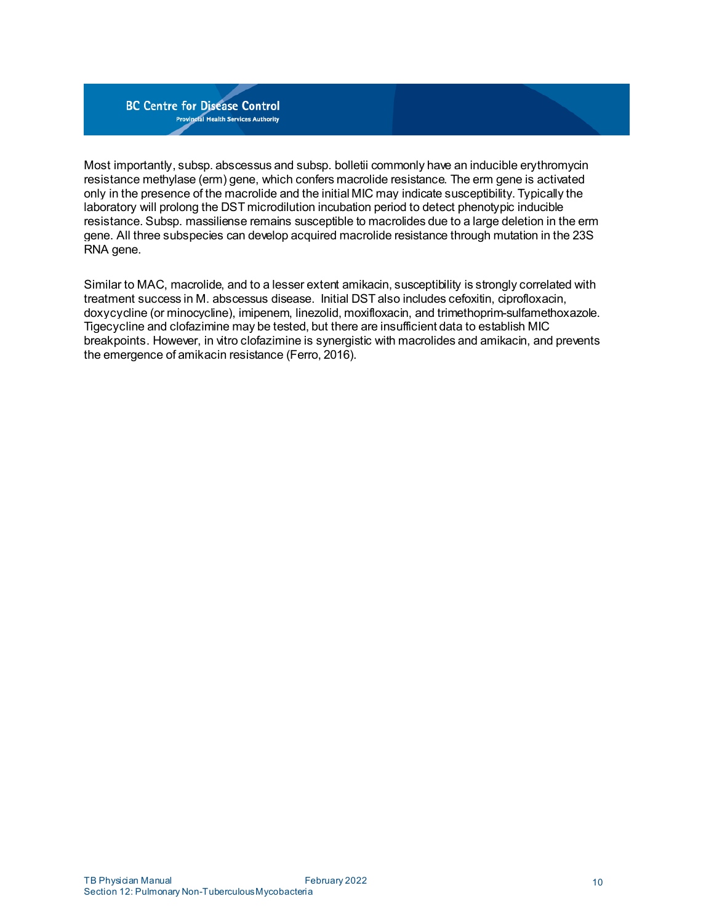

Most importantly, subsp. abscessus and subsp. bolletii commonly have an inducible erythromycin resistance methylase (erm) gene, which confers macrolide resistance. The erm gene is activated only in the presence of the macrolide and the initial MIC may indicate susceptibility. Typically the laboratory will prolong the DST microdilution incubation period to detect phenotypic inducible resistance. Subsp. massiliense remains susceptible to macrolides due to a large deletion in the erm gene. All three subspecies can develop acquired macrolide resistance through mutation in the 23S RNA gene.

Similar to MAC, macrolide, and to a lesser extent amikacin, susceptibility is strongly correlated with treatment success in M. abscessus disease. Initial DST also includes cefoxitin, ciprofloxacin, doxycycline (or minocycline), imipenem, linezolid, moxifloxacin, and trimethoprim-sulfamethoxazole. Tigecycline and clofazimine may be tested, but there are insufficient data to establish MIC breakpoints. However, in vitro clofazimine is synergistic with macrolides and amikacin, and prevents the emergence of amikacin resistance (Ferro, 2016).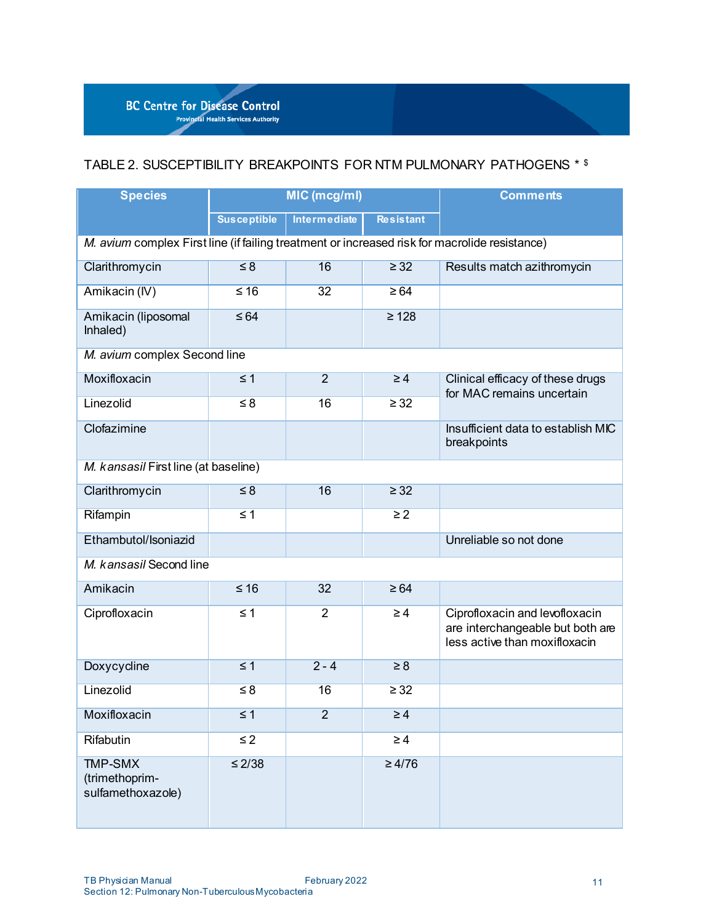

# <span id="page-10-0"></span>TABLE 2. SUSCEPTIBILITY BREAKPOINTS FOR NTM PULMONARY PATHOGENS \* \$

| <b>Species</b>                                                                                | MIC (mcg/ml)        |                     | <b>Comments</b>  |                                                                                                     |
|-----------------------------------------------------------------------------------------------|---------------------|---------------------|------------------|-----------------------------------------------------------------------------------------------------|
|                                                                                               | <b>Susceptible</b>  | <b>Intermediate</b> | <b>Resistant</b> |                                                                                                     |
| M. avium complex First line (if failing treatment or increased risk for macrolide resistance) |                     |                     |                  |                                                                                                     |
| Clarithromycin                                                                                | $\leq 8$            | 16                  | $\geq$ 32        | Results match azithromycin                                                                          |
| Amikacin (IV)                                                                                 | $\leq 16$           | 32                  | $\geq 64$        |                                                                                                     |
| Amikacin (liposomal<br>Inhaled)                                                               | $\leq 64$           |                     | $\geq 128$       |                                                                                                     |
| M. avium complex Second line                                                                  |                     |                     |                  |                                                                                                     |
| Moxifloxacin                                                                                  | $\leq$ 1            | $\overline{2}$      | $\geq 4$         | Clinical efficacy of these drugs<br>for MAC remains uncertain                                       |
| Linezolid                                                                                     | $\overline{\leq 8}$ | 16                  | $\geq 32$        |                                                                                                     |
| Clofazimine                                                                                   |                     |                     |                  | Insufficient data to establish MIC<br>breakpoints                                                   |
| M. kansasil First line (at baseline)                                                          |                     |                     |                  |                                                                                                     |
| Clarithromycin                                                                                | $\leq 8$            | 16                  | $\geq$ 32        |                                                                                                     |
| Rifampin                                                                                      | $\leq 1$            |                     | $\geq 2$         |                                                                                                     |
| Ethambutol/Isoniazid                                                                          |                     |                     |                  | Unreliable so not done                                                                              |
| M. kansasil Second line                                                                       |                     |                     |                  |                                                                                                     |
| Amikacin                                                                                      | $\leq 16$           | 32                  | $\geq 64$        |                                                                                                     |
| Ciprofloxacin                                                                                 | $\leq 1$            | $\overline{2}$      | $\geq 4$         | Ciprofloxacin and levofloxacin<br>are interchangeable but both are<br>less active than moxifloxacin |
| Doxycycline                                                                                   | $\leq 1$            | $2 - 4$             | $\geq 8$         |                                                                                                     |
| Linezolid                                                                                     | $\leq 8$            | 16                  | $\geq 32$        |                                                                                                     |
| Moxifloxacin                                                                                  | $\leq 1$            | $\overline{2}$      | $\geq 4$         |                                                                                                     |
| Rifabutin                                                                                     | $\leq$ 2            |                     | $\geq 4$         |                                                                                                     |
| <b>TMP-SMX</b><br>(trimethoprim-<br>sulfamethoxazole)                                         | $\leq 2/38$         |                     | $\geq 4/76$      |                                                                                                     |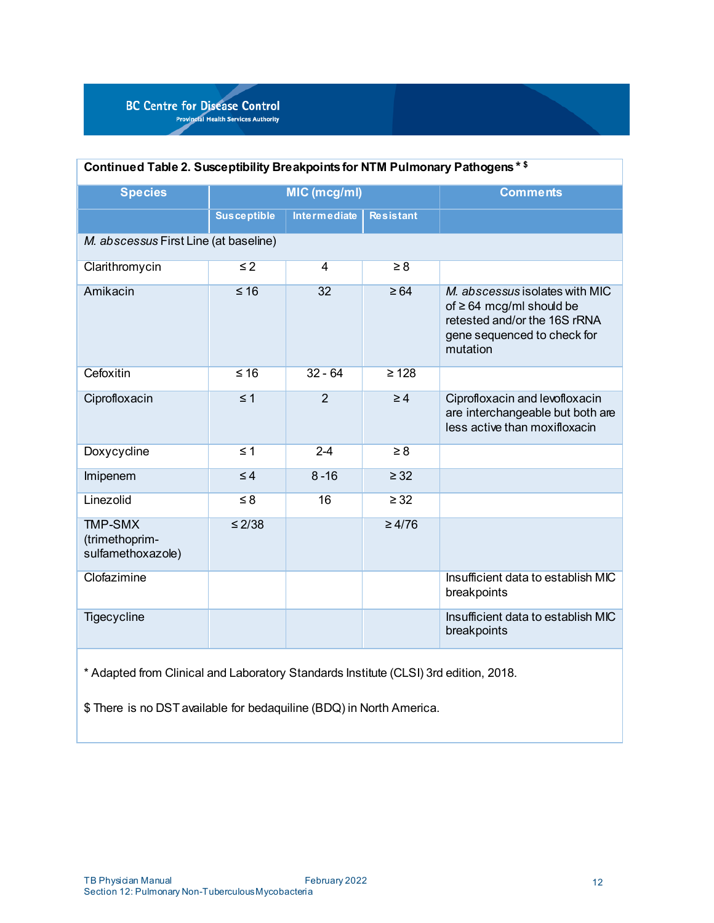| Continued Table 2. Susceptibility Breakpoints for NTM Pulmonary Pathogens * \$ |                    |                     |                     |                                                                                                                                            |
|--------------------------------------------------------------------------------|--------------------|---------------------|---------------------|--------------------------------------------------------------------------------------------------------------------------------------------|
| <b>Species</b>                                                                 | MIC (mcg/ml)       |                     | <b>Comments</b>     |                                                                                                                                            |
|                                                                                | <b>Susceptible</b> | <b>Intermediate</b> | <b>Resistant</b>    |                                                                                                                                            |
| M. abscessus First Line (at baseline)                                          |                    |                     |                     |                                                                                                                                            |
| Clarithromycin                                                                 | $\leq$ 2           | 4                   | $\overline{\geq 8}$ |                                                                                                                                            |
| Amikacin                                                                       | $\leq 16$          | 32                  | $\geq 64$           | M. abscessus isolates with MIC<br>of $\geq$ 64 mcg/ml should be<br>retested and/or the 16S rRNA<br>gene sequenced to check for<br>mutation |
| Cefoxitin                                                                      | $\leq 16$          | $32 - 64$           | $\geq 128$          |                                                                                                                                            |
| Ciprofloxacin                                                                  | $\leq 1$           | $\overline{2}$      | $\geq 4$            | Ciprofloxacin and levofloxacin<br>are interchangeable but both are<br>less active than moxifloxacin                                        |
| Doxycycline                                                                    | $\leq 1$           | $2 - 4$             | $\geq 8$            |                                                                                                                                            |
| Imipenem                                                                       | $\leq 4$           | $8 - 16$            | $\geq$ 32           |                                                                                                                                            |
| Linezolid                                                                      | $\leq 8$           | 16                  | $\geq$ 32           |                                                                                                                                            |
| <b>TMP-SMX</b><br>(trimethoprim-<br>sulfamethoxazole)                          | $\leq$ 2/38        |                     | $\geq 4/76$         |                                                                                                                                            |
| Clofazimine                                                                    |                    |                     |                     | Insufficient data to establish MIC<br>breakpoints                                                                                          |
| Tigecycline                                                                    |                    |                     |                     | Insufficient data to establish MIC<br>breakpoints                                                                                          |
|                                                                                |                    |                     |                     |                                                                                                                                            |

\* Adapted from Clinical and Laboratory Standards Institute (CLSI) 3rd edition, 2018.

\$ There is no DST available for bedaquiline (BDQ) in North America.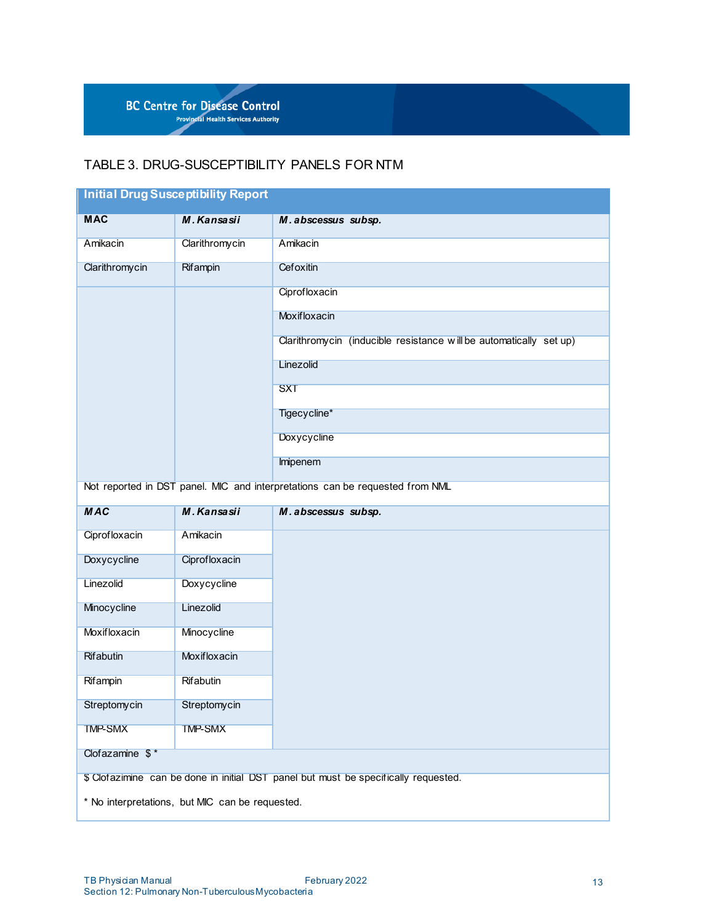

# <span id="page-12-0"></span>TABLE 3. DRUG-SUSCEPTIBILITY PANELS FOR NTM

| <b>Initial Drug Susceptibility Report</b>                                           |                    |                                                                              |  |
|-------------------------------------------------------------------------------------|--------------------|------------------------------------------------------------------------------|--|
| <b>MAC</b>                                                                          | M. Kansasii        | M. abscessus subsp.                                                          |  |
| Amikacin                                                                            | Clarithromycin     | Amikacin                                                                     |  |
| Clarithromycin                                                                      | Rifampin           | Cefoxitin                                                                    |  |
|                                                                                     |                    | Ciprofloxacin                                                                |  |
|                                                                                     |                    | Moxifloxacin                                                                 |  |
|                                                                                     |                    | Clarithromycin (inducible resistance will be automatically set up)           |  |
|                                                                                     |                    | Linezolid                                                                    |  |
|                                                                                     |                    | <b>SXT</b>                                                                   |  |
|                                                                                     |                    | Tigecycline*                                                                 |  |
|                                                                                     |                    | <b>Doxycycline</b>                                                           |  |
|                                                                                     |                    | Imipenem                                                                     |  |
|                                                                                     |                    | Not reported in DST panel. MIC and interpretations can be requested from NML |  |
| <b>MAC</b>                                                                          | M. Kansasii        | M. abscessus subsp.                                                          |  |
| Ciprofloxacin                                                                       | Amikacin           |                                                                              |  |
| Doxycycline                                                                         | Ciprofloxacin      |                                                                              |  |
| Linezolid                                                                           | <b>Doxycycline</b> |                                                                              |  |
| Minocycline                                                                         | Linezolid          |                                                                              |  |
| Moxifloxacin                                                                        | Minocycline        |                                                                              |  |
| Rifabutin                                                                           | Moxifloxacin       |                                                                              |  |
| Rifampin                                                                            | Rifabutin          |                                                                              |  |
| Streptomycin                                                                        | Streptomycin       |                                                                              |  |
| <b>TMP-SMX</b>                                                                      | <b>TMP-SMX</b>     |                                                                              |  |
| Clofazamine $$^*$                                                                   |                    |                                                                              |  |
| \$ Clofazimine can be done in initial DST panel but must be specifically requested. |                    |                                                                              |  |
| * No interpretations, but MIC can be requested.                                     |                    |                                                                              |  |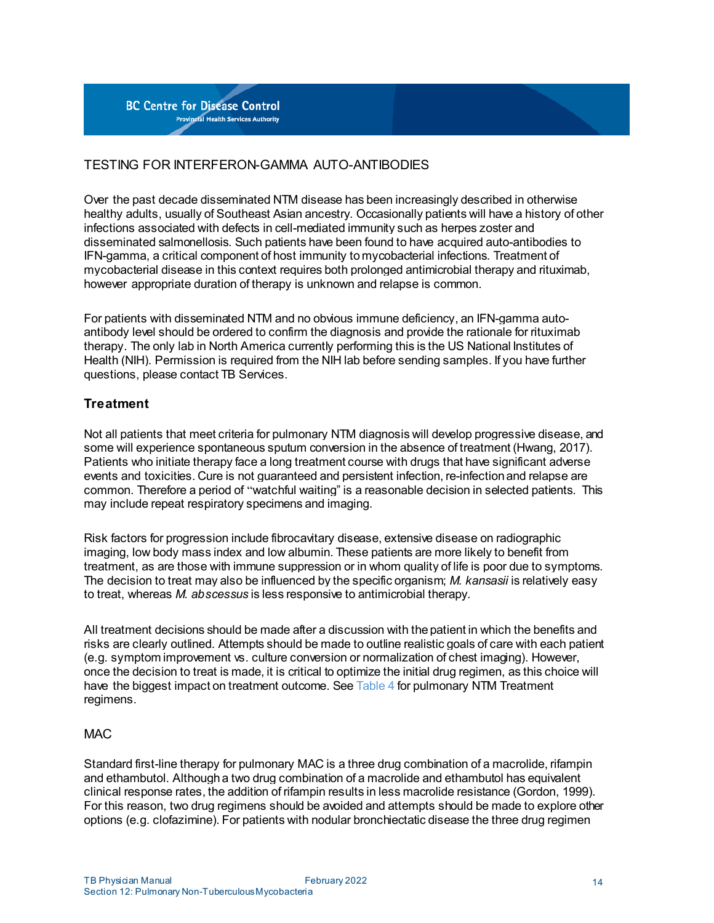# TESTING FOR INTERFERON-GAMMA AUTO-ANTIBODIES

Over the past decade disseminated NTM disease has been increasingly described in otherwise healthy adults, usually of Southeast Asian ancestry. Occasionally patients will have a history of other infections associated with defects in cell-mediated immunity such as herpes zoster and disseminated salmonellosis. Such patients have been found to have acquired auto-antibodies to IFN-gamma, a critical component of host immunity tomycobacterial infections. Treatment of mycobacterial disease in this context requires both prolonged antimicrobial therapy and rituximab, however appropriate duration of therapy is unknown and relapse is common.

For patients with disseminated NTM and no obvious immune deficiency, an IFN-gamma autoantibody level should be ordered to confirm the diagnosis and provide the rationale for rituximab therapy. The only lab in North America currently performing this is the US National Institutes of Health (NIH). Permission is required from the NIH lab before sending samples. If you have further questions, please contact TB Services.

## <span id="page-13-0"></span>**Treatment**

Not all patients that meet criteria for pulmonary NTM diagnosis will develop progressive disease, and some will experience spontaneous sputum conversion in the absence of treatment (Hwang, 2017). Patients who initiate therapy face a long treatment course with drugs that have significant adverse events and toxicities. Cure is not guaranteed and persistent infection, re-infectionand relapse are common. Therefore a period of "watchful waiting" is a reasonable decision in selected patients. This may include repeat respiratory specimens and imaging.

Risk factors for progression include fibrocavitary disease, extensive disease on radiographic imaging, low body mass index and low albumin. These patients are more likely to benefit from treatment, as are those with immune suppression or in whom quality of life is poor due to symptoms. The decision to treat may also be influenced by the specific organism; *M. kansasii* is relatively easy to treat, whereas *M. abscessus* is less responsive to antimicrobial therapy.

All treatment decisions should be made after a discussion with thepatient in which the benefits and risks are clearly outlined. Attempts should be made to outline realistic goals of care with each patient (e.g. symptom improvement vs. culture conversion or normalization of chest imaging). However, once the decision to treat is made, it is critical to optimize the initial drug regimen, as this choice will have the biggest impact on treatment outcome. See [Table](#page-19-0) 4 for pulmonary NTM Treatment regimens.

#### **MAC**

Standard first-line therapy for pulmonary MAC is a three drug combination of a macrolide, rifampin and ethambutol. Although a two drug combination of a macrolide and ethambutol has equivalent clinical response rates, the addition of rifampin results in less macrolide resistance (Gordon, 1999). For this reason, two drug regimens should be avoided and attempts should be made to explore other options (e.g. clofazimine). For patients with nodular bronchiectatic disease the three drug regimen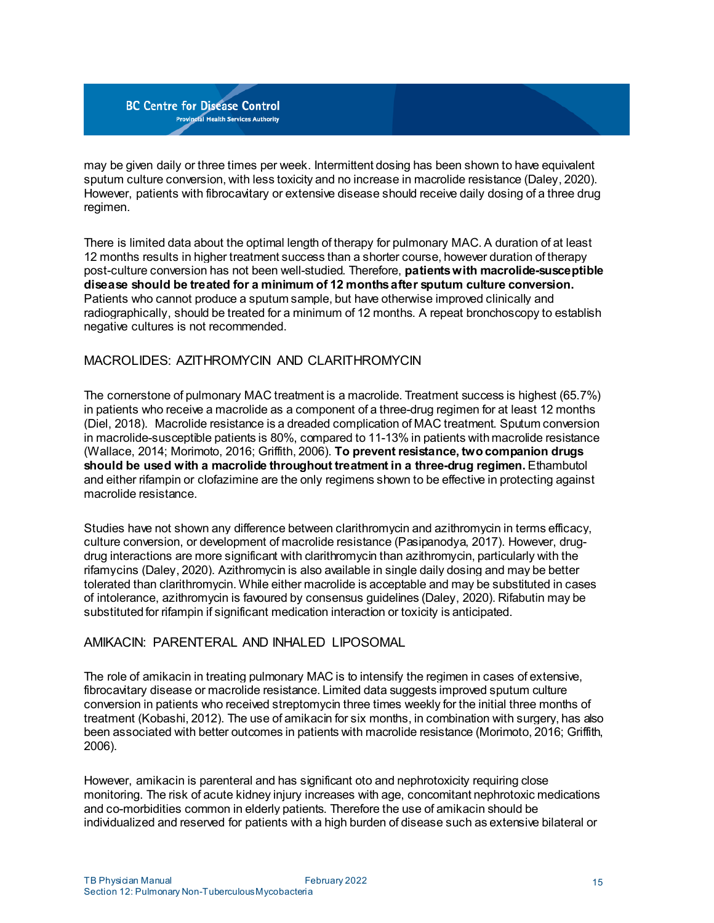may be given daily or three times per week. Intermittent dosing has been shown to have equivalent sputum culture conversion, with less toxicity and no increase in macrolide resistance (Daley, 2020). However, patients with fibrocavitary or extensive disease should receive daily dosing of a three drug regimen.

There is limited data about the optimal length of therapy for pulmonary MAC. A duration of at least 12 months results in higher treatment success than a shorter course, however duration of therapy post-culture conversion has not been well-studied. Therefore, **patientswith macrolide-susceptible disease should be treated for a minimum of 12 monthsafter sputum culture conversion.** Patients who cannot produce a sputum sample, but have otherwise improved clinically and radiographically, should be treated for a minimum of 12 months. A repeat bronchoscopy to establish negative cultures is not recommended.

## MACROLIDES: AZITHROMYCIN AND CLARITHROMYCIN

The cornerstone of pulmonary MAC treatment is a macrolide. Treatment success is highest (65.7%) in patients who receive a macrolide as a component of a three-drug regimen for at least 12 months (Diel, 2018). Macrolide resistance is a dreaded complication of MAC treatment. Sputum conversion in macrolide-susceptible patients is 80%, compared to 11-13% in patients withmacrolide resistance (Wallace, 2014; Morimoto, 2016; Griffith, 2006). **To prevent resistance, two companion drugs should be used with a macrolide throughout treatment in a three-drug regimen.** Ethambutol and either rifampin or clofazimine are the only regimens shown to be effective in protecting against macrolide resistance.

Studies have not shown any difference between clarithromycin and azithromycin in terms efficacy, culture conversion, or development of macrolide resistance (Pasipanodya, 2017). However, drugdrug interactions are more significant with clarithromycin than azithromycin, particularly with the rifamycins (Daley, 2020). Azithromycin is also available in single daily dosing and may be better tolerated than clarithromycin. While either macrolide is acceptable and may be substituted in cases of intolerance, azithromycin is favoured by consensus guidelines (Daley, 2020). Rifabutin may be substituted for rifampin if significant medication interaction or toxicity is anticipated.

## AMIKACIN: PARENTERAL AND INHALED LIPOSOMAL

The role of amikacin in treating pulmonary MAC is to intensify the regimen in cases of extensive, fibrocavitary disease or macrolide resistance. Limited data suggests improved sputum culture conversion in patients who received streptomycin three times weekly for the initial three months of treatment (Kobashi, 2012). The use of amikacin for six months, in combination with surgery, has also been associated with better outcomes in patients with macrolide resistance (Morimoto, 2016; Griffith, 2006).

However, amikacin is parenteral and has significant oto and nephrotoxicity requiring close monitoring. The risk of acute kidney injury increases with age, concomitant nephrotoxic medications and co-morbidities common in elderly patients. Therefore the use of amikacin should be individualized and reserved for patients with a high burden of disease such as extensive bilateral or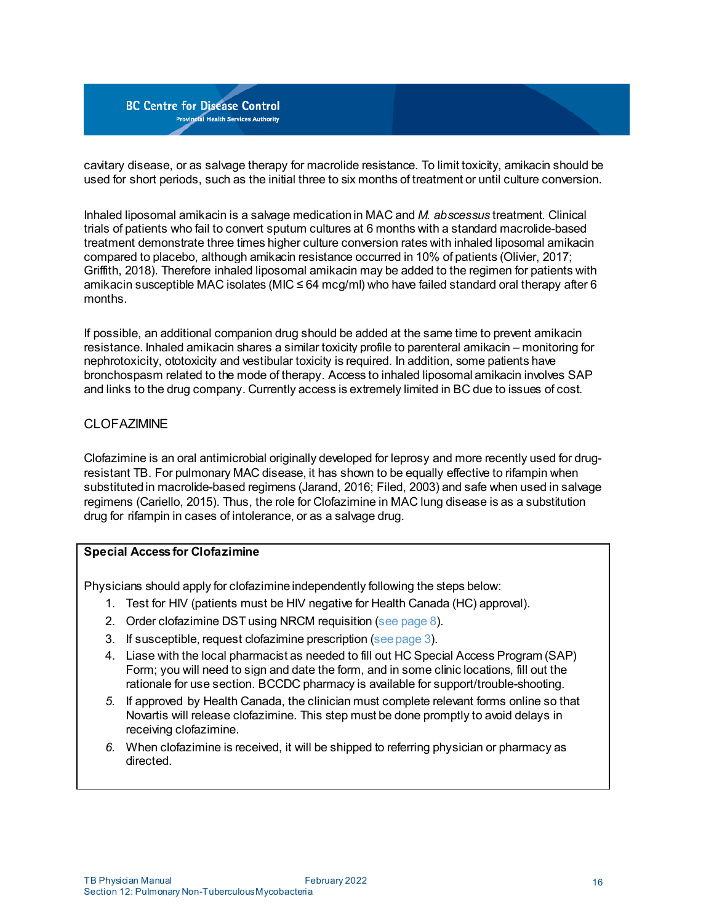cavitary disease, or as salvage therapy for macrolide resistance. To limit toxicity, amikacin should be used for short periods, such as the initial three to six months of treatment or until culture conversion.

Inhaled liposomal amikacin is a salvage medicationin MAC and *M. abscessus* treatment. Clinical trials of patients who fail to convert sputum cultures at 6 months with a standard macrolide-based treatment demonstrate three times higher culture conversion rates with inhaled liposomal amikacin compared to placebo, although amikacin resistance occurred in 10% of patients (Olivier, 2017; Griffith, 2018). Therefore inhaled liposomal amikacin may be added to the regimen for patients with amikacin susceptible MAC isolates (MIC  $\leq$  64 mcg/ml) who have failed standard oral therapy after 6 months.

If possible, an additional companion drug should be added at the same time to prevent amikacin resistance. Inhaled amikacin shares a similar toxicity profile to parenteral amikacin – monitoring for nephrotoxicity, ototoxicity and vestibular toxicity is required. In addition, some patients have bronchospasm related to the mode of therapy. Access to inhaled liposomal amikacin involves SAP and links to the drug company. Currently access is extremely limited in BC due to issues of cost.

## **CLOFAZIMINE**

Clofazimine is an oral antimicrobial originally developed for leprosy and more recently used for drugresistant TB. For pulmonary MAC disease, it has shown to be equally effective to rifampin when substitutedin macrolide-based regimens (Jarand, 2016; Filed, 2003) and safe when used in salvage regimens (Cariello, 2015). Thus, the role for Clofazimine in MAC lung disease is as a substitution drug for rifampin in cases of intolerance, or as a salvage drug.

#### **Special Accessfor Clofazimine**

Physicians should apply for clofazimine independently following the steps below:

- 1. Test for HIV (patients must be HIV negative for Health Canada (HC) approval).
- 2. Order clofazimine DST using NRCM requisition (see [page](#page-7-0) 8).
- 3. If susceptible, request clofazimine prescription (see page 3).
- 4. Liase with the local pharmacist as needed to fill out HC Special Access Program (SAP) Form; you will need to sign and date the form, and in some clinic locations, fill out the rationale for use section. BCCDC pharmacy is available for support/trouble-shooting.
- *5.* If approved by Health Canada, the clinician must complete relevant forms online so that Novartis will release clofazimine. This step must be done promptly to avoid delays in receiving clofazimine.
- *6.* When clofazimine is received, it will be shipped to referring physician or pharmacy as directed.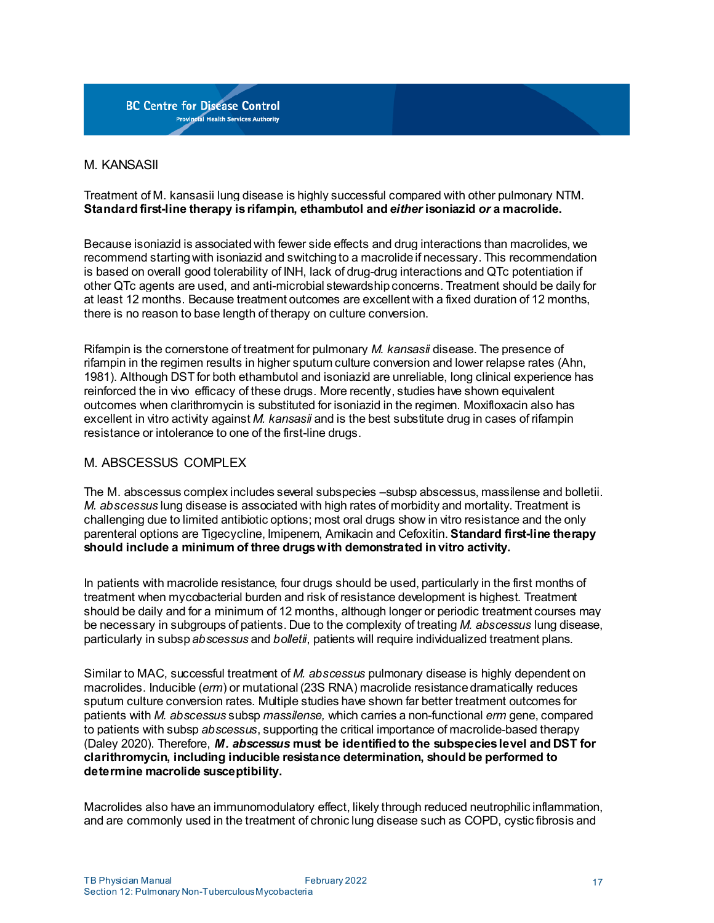

#### M. KANSASII

#### Treatment of M. kansasii lung disease is highly successful compared with other pulmonary NTM. **Standard first-line therapy isrifampin, ethambutol and** *either* **isoniazid** *or* **a macrolide.**

Because isoniazid is associatedwith fewer side effects and drug interactions than macrolides, we recommend starting with isoniazid and switching to a macrolide if necessary. This recommendation is based on overall good tolerability of INH, lack of drug-drug interactions and QTc potentiation if other QTc agents are used, and anti-microbial stewardshipconcerns. Treatment should be daily for at least 12 months. Because treatment outcomes are excellent with a fixed duration of 12 months, there is no reason to base length of therapy on culture conversion.

Rifampin is the cornerstone of treatment for pulmonary *M. kansasii* disease. The presence of rifampin in the regimen results in higher sputum culture conversion and lower relapse rates (Ahn, 1981). Although DST for both ethambutol and isoniazid are unreliable, long clinical experience has reinforced the in vivo efficacy of these drugs. More recently, studies have shown equivalent outcomes when clarithromycin is substituted for isoniazid in the regimen. Moxifloxacin also has excellent in vitro activity against *M. kansasii* and is the best substitute drug in cases of rifampin resistance or intolerance to one of the first-line drugs.

#### M. ABSCESSUS COMPLEX

The M. abscessus complex includes several subspecies –subsp abscessus, massilense and bolletii. *M. abscessus* lung disease is associated with high rates of morbidity and mortality. Treatment is challenging due to limited antibiotic options; most oral drugs show in vitro resistance and the only parenteral options are Tigecycline, Imipenem, Amikacin and Cefoxitin. **Standard first-line therapy should include a minimum of three drugswith demonstrated in vitro activity.**

In patients with macrolide resistance, four drugs should be used, particularly in the first months of treatment when mycobacterial burden and risk of resistance development is highest. Treatment should be daily and for a minimum of 12 months, although longer or periodic treatment courses may be necessary in subgroups of patients. Due to the complexity of treating *M. abscessus* lung disease, particularly in subsp*abscessus* and *bolletii*, patients will require individualized treatment plans.

Similar to MAC, successful treatment of *M. abscessus* pulmonary disease is highly dependent on macrolides. Inducible (*erm*) or mutational (23S RNA) macrolide resistance dramatically reduces sputum culture conversion rates. Multiple studies have shown far better treatment outcomes for patients with *M. abscessus* subsp *massilense,* which carries a non-functional *erm* gene, compared to patients with subsp *abscessus*, supporting the critical importance of macrolide-based therapy (Daley 2020). Therefore, *M. abscessus* **must be identified to the subspecieslevel and DST for clarithromycin, including inducible resistance determination, should be performed to determine macrolide susceptibility.**

Macrolides also have an immunomodulatory effect, likely through reduced neutrophilic inflammation, and are commonly used in the treatment of chronic lung disease such as COPD, cystic fibrosis and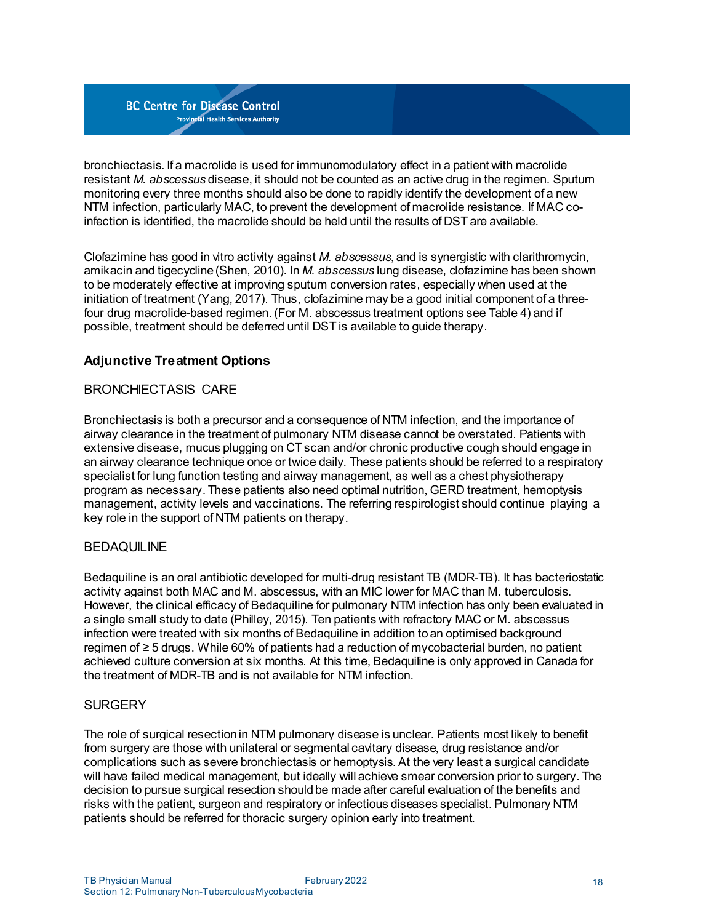bronchiectasis. If a macrolide is used for immunomodulatory effect in a patient with macrolide resistant *M. abscessus* disease, it should not be counted as an active drug in the regimen. Sputum monitoring every three months should also be done to rapidly identify the development of a new NTM infection, particularly MAC, to prevent the development of macrolide resistance. If MAC coinfection is identified, the macrolide should be held until the results of DST are available.

Clofazimine has good in vitro activity against *M. abscessus*, and is synergistic with clarithromycin, amikacin and tigecycline(Shen, 2010). In *M. abscessus* lung disease, clofazimine has been shown to be moderately effective at improving sputum conversion rates, especially when used at the initiation of treatment (Yang, 2017). Thus, clofazimine may be a good initial component of a threefour drug macrolide-based regimen. (For M. abscessus treatment options see [Table](#page-19-0) 4) and if possible, treatment should be deferred until DST is available to guide therapy.

# <span id="page-17-0"></span>**Adjunctive Treatment Options**

## BRONCHIECTASIS CARE

Bronchiectasis is both a precursor and a consequence of NTM infection, and the importance of airway clearance in the treatment of pulmonary NTM disease cannot be overstated. Patients with extensive disease, mucus plugging on CT scan and/or chronic productive cough should engage in an airway clearance technique once or twice daily. These patients should be referred to a respiratory specialist for lung function testing and airway management, as well as a chest physiotherapy program as necessary. These patients also need optimal nutrition, GERD treatment, hemoptysis management, activity levels and vaccinations. The referring respirologist should continue playing a key role in the support of NTM patients on therapy.

#### **BEDAQUILINE**

Bedaquiline is an oral antibiotic developed for multi-drug resistant TB (MDR-TB). It has bacteriostatic activity against both MAC and M. abscessus, with an MIC lower for MAC than M. tuberculosis. However, the clinical efficacy of Bedaquiline for pulmonary NTM infection has only been evaluated in a single small study to date (Philley, 2015). Ten patients with refractory MAC or M. abscessus infection were treated with six months of Bedaquiline in addition toan optimised background regimen of ≥ 5 drugs. While 60% of patients had a reduction of mycobacterial burden, no patient achieved culture conversion at six months. At this time, Bedaquiline is only approved in Canada for the treatment of MDR-TB and is not available for NTM infection.

#### **SURGERY**

The role of surgical resectionin NTM pulmonary disease is unclear. Patients most likely to benefit from surgery are those with unilateral or segmental cavitary disease, drug resistance and/or complications such as severe bronchiectasis or hemoptysis. At the very least a surgical candidate will have failed medical management, but ideally will achieve smear conversion prior to surgery. The decision to pursue surgical resection should be made after careful evaluation of the benefits and risks with the patient, surgeon and respiratory or infectious diseases specialist. Pulmonary NTM patients should be referred for thoracic surgery opinion early into treatment.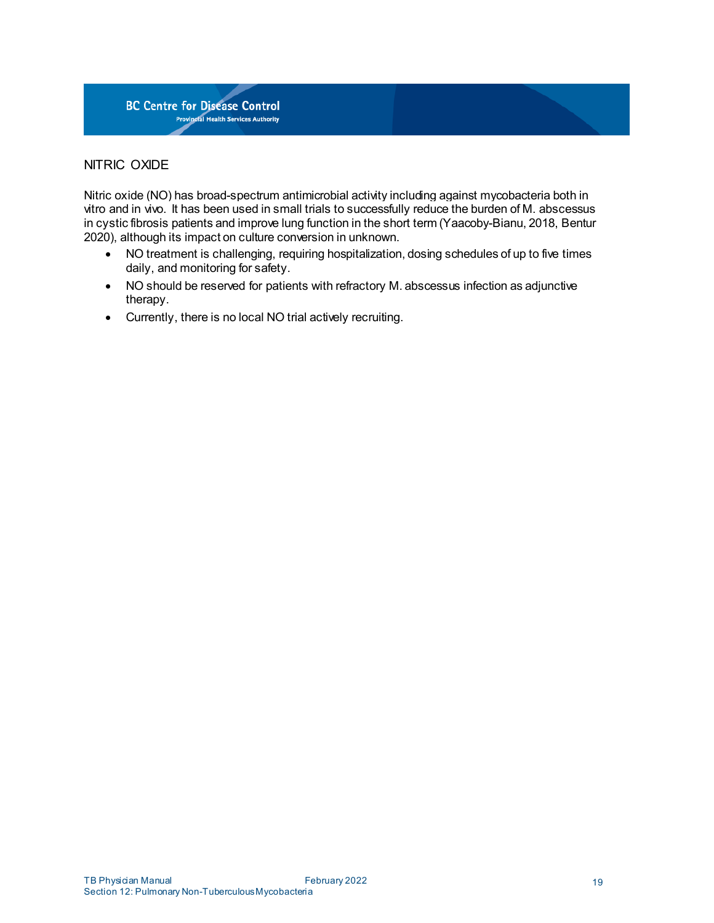

## NITRIC OXIDE

Nitric oxide (NO) has broad-spectrum antimicrobial activity including against mycobacteria both in vitro and in vivo. It has been used in small trials to successfully reduce the burden of M. abscessus in cystic fibrosis patients and improve lung function in the short term (Yaacoby-Bianu, 2018, Bentur 2020), although its impact on culture conversion in unknown.

- NO treatment is challenging, requiring hospitalization, dosing schedules of up to five times daily, and monitoring for safety.
- NO should be reserved for patients with refractory M. abscessus infection as adjunctive therapy.
- Currently, there is no local NO trial actively recruiting.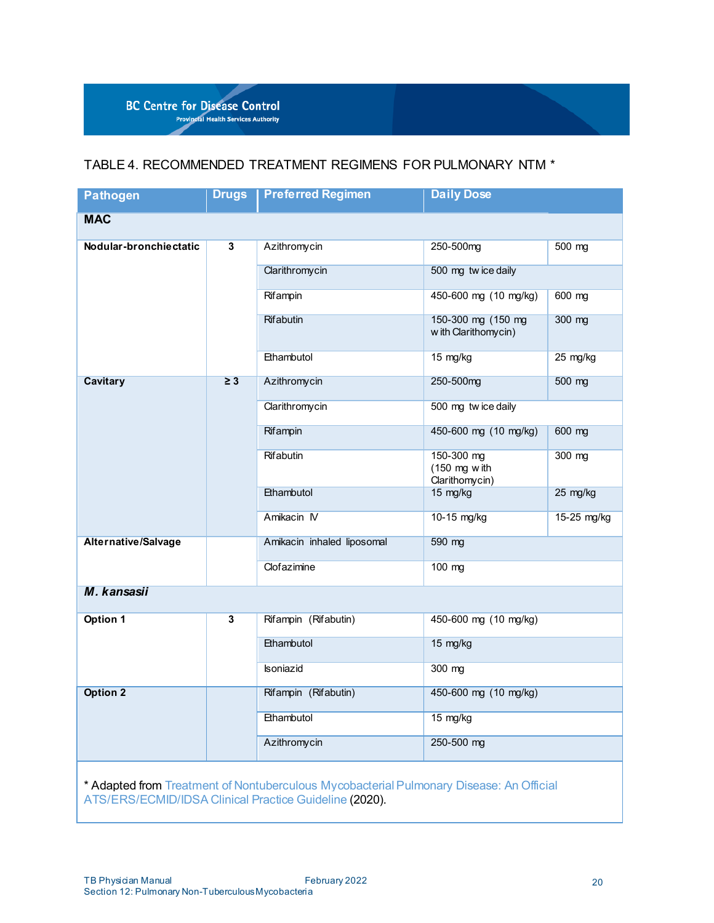

# <span id="page-19-0"></span>TABLE 4. RECOMMENDED TREATMENT REGIMENS FOR PULMONARY NTM \*

| <b>Pathogen</b>        | <b>Drugs</b> | <b>Preferred Regimen</b>   | <b>Daily Dose</b>                                       |             |  |
|------------------------|--------------|----------------------------|---------------------------------------------------------|-------------|--|
| <b>MAC</b>             |              |                            |                                                         |             |  |
| Nodular-bronchiectatic | 3            | Azithromycin               | 250-500mg                                               | 500 mg      |  |
|                        |              | Clarithromycin             | 500 mg twice daily                                      |             |  |
|                        |              | Rifampin                   | 450-600 mg (10 mg/kg)                                   | 600 mg      |  |
|                        |              | <b>Rifabutin</b>           | 150-300 mg (150 mg<br>w ith Clarithomycin)              | 300 mg      |  |
|                        |              | Ethambutol                 | 15 mg/kg                                                | 25 mg/kg    |  |
| <b>Cavitary</b>        | $\geq 3$     | Azithromycin               | 250-500mg                                               | 500 mg      |  |
|                        |              | Clarithromycin             | 500 mg twice daily                                      |             |  |
|                        |              | Rifampin                   | 450-600 mg (10 mg/kg)                                   | 600 mg      |  |
|                        |              | Rifabutin                  | 150-300 mg<br>$(150 \text{ mg w}$ ith<br>Clarithomycin) | 300 mg      |  |
|                        |              | Ethambutol                 | 15 mg/kg                                                | 25 mg/kg    |  |
|                        |              | Amikacin IV                | 10-15 mg/kg                                             | 15-25 mg/kg |  |
| Alternative/Salvage    |              | Amikacin inhaled liposomal | 590 mg                                                  |             |  |
|                        |              | Clofazimine                | 100 mg                                                  |             |  |
| M. kansasii            |              |                            |                                                         |             |  |
| <b>Option 1</b>        | 3            | Rifampin (Rifabutin)       | 450-600 mg (10 mg/kg)                                   |             |  |
|                        |              | Ethambutol                 | 15 mg/kg                                                |             |  |
|                        |              | <b>Isoniazid</b>           | 300 mg                                                  |             |  |
| <b>Option 2</b>        |              | Rifampin (Rifabutin)       | 450-600 mg (10 mg/kg)                                   |             |  |
|                        |              | Ethambutol                 | 15 mg/kg                                                |             |  |
|                        |              | Azithromycin               | 250-500 mg                                              |             |  |

\* Adapted from Treatment of Nontuberculous Mycobacterial Pulmonary Disease: An Official [ATS/ERS/ECMID/IDSA](https://pubmed.ncbi.nlm.nih.gov/32636299/) Clinical Practice Guideline (2020).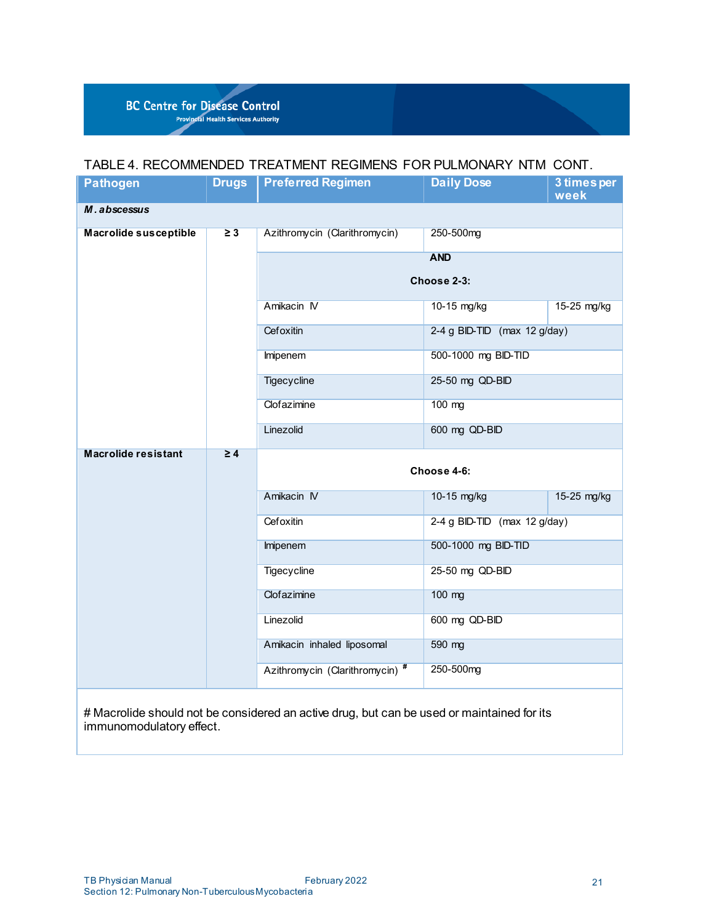# TABLE 4. RECOMMENDED TREATMENT REGIMENS FOR PULMONARY NTM CONT.

| <b>Pathogen</b>                                                                                                        | <b>Drugs</b> | <b>Preferred Regimen</b>        | <b>Daily Dose</b>            | 3 times per<br>week |  |  |
|------------------------------------------------------------------------------------------------------------------------|--------------|---------------------------------|------------------------------|---------------------|--|--|
| M. abscessus                                                                                                           |              |                                 |                              |                     |  |  |
| <b>Macrolide susceptible</b>                                                                                           | $\geq 3$     | Azithromycin (Clarithromycin)   | 250-500mg                    |                     |  |  |
|                                                                                                                        |              |                                 | <b>AND</b>                   |                     |  |  |
|                                                                                                                        |              |                                 | Choose 2-3:                  |                     |  |  |
|                                                                                                                        |              | Amikacin IV                     | 10-15 mg/kg                  | 15-25 mg/kg         |  |  |
|                                                                                                                        |              | Cefoxitin                       | 2-4 g BID-TID (max 12 g/day) |                     |  |  |
|                                                                                                                        |              | Imipenem                        | 500-1000 mg BID-TID          |                     |  |  |
|                                                                                                                        |              | <b>Tigecycline</b>              | 25-50 mg QD-BID              |                     |  |  |
|                                                                                                                        |              | Clofazimine                     | 100 mg                       |                     |  |  |
|                                                                                                                        |              | Linezolid                       | 600 mg QD-BID                |                     |  |  |
| <b>Macrolide resistant</b>                                                                                             | $\geq 4$     | Choose 4-6:                     |                              |                     |  |  |
|                                                                                                                        |              | Amikacin IV                     | 10-15 mg/kg                  | 15-25 mg/kg         |  |  |
|                                                                                                                        |              | Cefoxitin                       | 2-4 g BID-TID (max 12 g/day) |                     |  |  |
|                                                                                                                        |              | Imipenem                        | 500-1000 mg BID-TID          |                     |  |  |
|                                                                                                                        |              | Tigecycline                     | 25-50 mg QD-BID              |                     |  |  |
|                                                                                                                        |              | Clofazimine                     | 100 mg                       |                     |  |  |
|                                                                                                                        |              | Linezolid                       | 600 mg QD-BID                |                     |  |  |
|                                                                                                                        |              | Amikacin inhaled liposomal      | 590 mg                       |                     |  |  |
|                                                                                                                        |              | Azithromycin (Clarithromycin) # | 250-500mg                    |                     |  |  |
| # Macrolide should not be considered an active drug, but can be used or maintained for its<br>immunomodulatory effect. |              |                                 |                              |                     |  |  |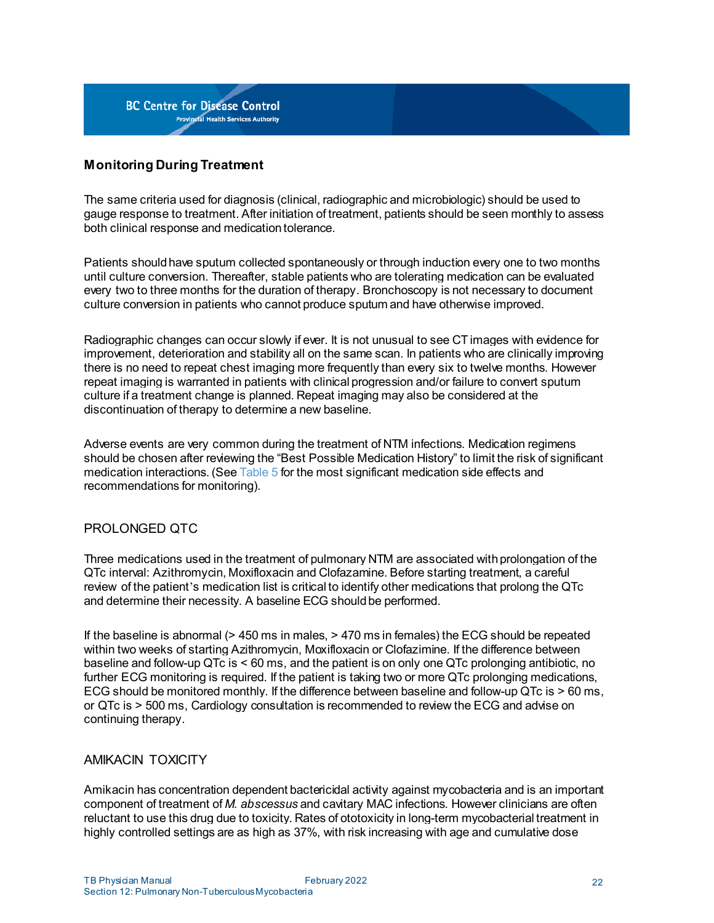

# <span id="page-21-0"></span>**Monitoring During Treatment**

The same criteria used for diagnosis (clinical, radiographic and microbiologic) should be used to gauge response to treatment. After initiation of treatment, patients should be seen monthly to assess both clinical response and medication tolerance.

Patients should have sputum collected spontaneously or through induction every one to two months until culture conversion. Thereafter, stable patients who are tolerating medication can be evaluated every two to three months for the duration of therapy. Bronchoscopy is not necessary to document culture conversion in patients who cannot produce sputum and have otherwise improved.

Radiographic changes can occur slowly if ever. It is not unusual to see CT images with evidence for improvement, deterioration and stability all on the same scan. In patients who are clinically improving there is no need to repeat chest imaging more frequently than every six to twelve months. However repeat imaging is warranted in patients with clinical progression and/or failure to convert sputum culture if a treatment change is planned. Repeat imaging may also be considered at the discontinuation of therapy to determine a new baseline.

Adverse events are very common during the treatment of NTM infections. Medication regimens should be chosen after reviewing the "Best Possible Medication History" to limit the risk of significant medication interactions. (See [Table](#page-23-0) 5 for the most significant medication side effects and recommendations for monitoring).

#### PROLONGED QTC

Three medications used in the treatment of pulmonary NTM are associated withprolongation of the QTc interval: Azithromycin, Moxifloxacin and Clofazamine. Before starting treatment, a careful review of the patient's medication list is critical to identify other medications that prolong the QTc and determine their necessity. A baseline ECG should be performed.

If the baseline is abnormal (> 450 ms in males, > 470 ms in females) the ECG should be repeated within two weeks of starting Azithromycin, Moxifloxacin or Clofazimine. If the difference between baseline and follow-up QTc is < 60 ms, and the patient is on only one QTc prolonging antibiotic, no further ECG monitoring is required. If the patient is taking two or more QTc prolonging medications, ECG should be monitored monthly. If the difference between baseline and follow-up QTc is > 60 ms, or QTc is > 500 ms, Cardiology consultation is recommended to review the ECG and advise on continuing therapy.

#### AMIKACIN TOXICITY

Amikacin has concentration dependent bactericidal activity against mycobacteria and is an important component of treatment of *M. abscessus* and cavitary MAC infections. However clinicians are often reluctant to use this drug due to toxicity. Rates of ototoxicity in long-term mycobacterial treatment in highly controlled settings are as high as 37%, with risk increasing with age and cumulative dose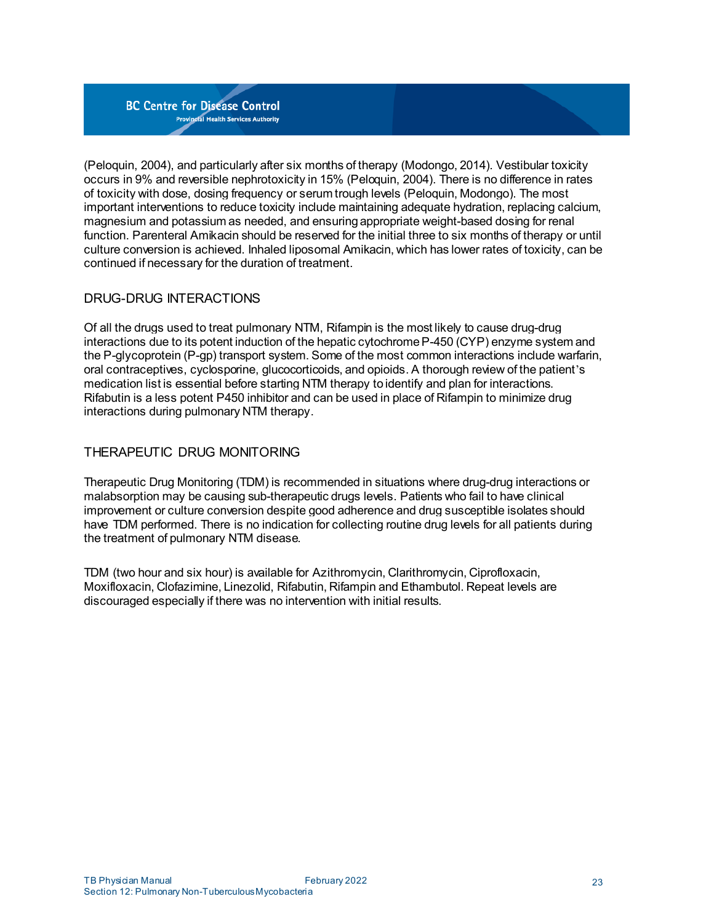(Peloquin, 2004), and particularly after six months of therapy (Modongo, 2014). Vestibular toxicity occurs in 9% and reversible nephrotoxicity in 15% (Peloquin, 2004). There is no difference in rates of toxicity with dose, dosing frequency or serum trough levels (Peloquin, Modongo). The most important interventions to reduce toxicity include maintaining adequate hydration, replacing calcium, magnesium and potassium as needed, and ensuringappropriate weight-based dosing for renal function. Parenteral Amikacin should be reserved for the initial three to six months of therapy or until culture conversion is achieved. Inhaled liposomal Amikacin, which has lower rates of toxicity, can be continued if necessary for the duration of treatment.

# DRUG-DRUG INTERACTIONS

Of all the drugs used to treat pulmonary NTM, Rifampin is the most likely to cause drug-drug interactions due to its potent induction of the hepatic cytochromeP-450 (CYP) enzyme system and the P-glycoprotein (P-gp) transport system. Some of the most common interactions include warfarin, oral contraceptives, cyclosporine, glucocorticoids, and opioids. A thorough review of the patient's medication list is essential before starting NTM therapy toidentify and plan for interactions. Rifabutin is a less potent P450 inhibitor and can be used in place of Rifampin to minimize drug interactions during pulmonary NTM therapy.

# THERAPEUTIC DRUG MONITORING

Therapeutic Drug Monitoring (TDM) is recommended in situations where drug-drug interactions or malabsorption may be causing sub-therapeutic drugs levels. Patients who fail to have clinical improvement or culture conversion despite good adherence and drug susceptible isolates should have TDM performed. There is no indication for collecting routine drug levels for all patients during the treatment of pulmonary NTM disease.

TDM (two hour and six hour) is available for Azithromycin, Clarithromycin, Ciprofloxacin, Moxifloxacin, Clofazimine, Linezolid, Rifabutin, Rifampin and Ethambutol. Repeat levels are discouraged especially if there was no intervention with initial results.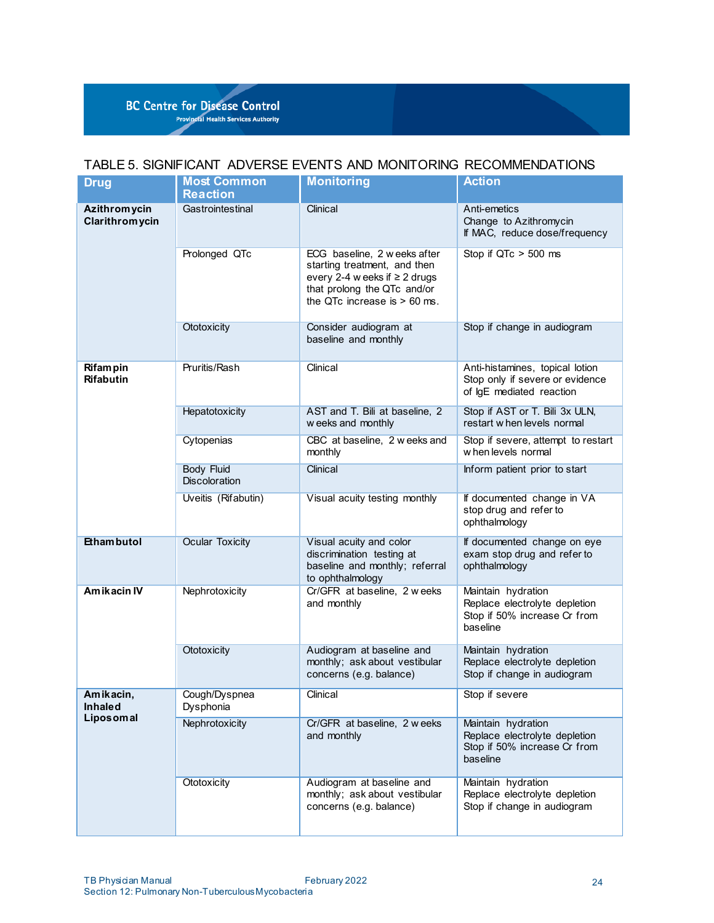## <span id="page-23-0"></span>TABLE 5. SIGNIFICANT ADVERSE EVENTS AND MONITORING RECOMMENDATIONS

| <b>Drug</b>                              | <b>Most Common</b><br><b>Reaction</b> | <b>Monitoring</b>                                                                                                                                                   | <b>Action</b>                                                                                   |
|------------------------------------------|---------------------------------------|---------------------------------------------------------------------------------------------------------------------------------------------------------------------|-------------------------------------------------------------------------------------------------|
| <b>Azithromycin</b><br>Clarithromycin    | Gastrointestinal                      | Clinical                                                                                                                                                            | Anti-emetics<br>Change to Azithromycin<br>If MAC, reduce dose/frequency                         |
|                                          | Prolonged QTc                         | ECG baseline, 2 w eeks after<br>starting treatment, and then<br>every 2-4 w eeks if $\geq 2$ drugs<br>that prolong the QTc and/or<br>the QTc increase is $> 60$ ms. | Stop if QTc > 500 ms                                                                            |
|                                          | Ototoxicity                           | Consider audiogram at<br>baseline and monthly                                                                                                                       | Stop if change in audiogram                                                                     |
| Rifampin<br><b>Rifabutin</b>             | Pruritis/Rash                         | Clinical                                                                                                                                                            | Anti-histamines, topical lotion<br>Stop only if severe or evidence<br>of IgE mediated reaction  |
|                                          | Hepatotoxicity                        | AST and T. Bili at baseline, 2<br>w eeks and monthly                                                                                                                | Stop if AST or T. Bili 3x ULN,<br>restart w hen levels normal                                   |
|                                          | Cytopenias                            | CBC at baseline, 2 w eeks and<br>monthly                                                                                                                            | Stop if severe, attempt to restart<br>w hen levels normal                                       |
|                                          | <b>Body Fluid</b><br>Discoloration    | Clinical                                                                                                                                                            | Inform patient prior to start                                                                   |
|                                          | Uveitis (Rifabutin)                   | Visual acuity testing monthly                                                                                                                                       | If documented change in VA<br>stop drug and refer to<br>ophthalmology                           |
| <b>Ethambutol</b>                        | <b>Ocular Toxicity</b>                | Visual acuity and color<br>discrimination testing at<br>baseline and monthly; referral<br>to ophthalmology                                                          | If documented change on eye<br>exam stop drug and refer to<br>ophthalmology                     |
| <b>Amikacin IV</b>                       | Nephrotoxicity                        | Cr/GFR at baseline, 2 weeks<br>and monthly                                                                                                                          | Maintain hydration<br>Replace electrolyte depletion<br>Stop if 50% increase Cr from<br>baseline |
|                                          | Ototoxicity                           | Audiogram at baseline and<br>monthly; ask about vestibular<br>concerns (e.g. balance)                                                                               | Maintain hydration<br>Replace electrolyte depletion<br>Stop if change in audiogram              |
| Amikacin,<br><b>Inhaled</b><br>Liposomal | Cough/Dyspnea<br>Dysphonia            | Clinical                                                                                                                                                            | Stop if severe                                                                                  |
|                                          | Nephrotoxicity                        | Cr/GFR at baseline, 2 weeks<br>and monthly                                                                                                                          | Maintain hydration<br>Replace electrolyte depletion<br>Stop if 50% increase Cr from<br>baseline |
|                                          | Ototoxicity                           | Audiogram at baseline and<br>monthly; ask about vestibular<br>concerns (e.g. balance)                                                                               | Maintain hydration<br>Replace electrolyte depletion<br>Stop if change in audiogram              |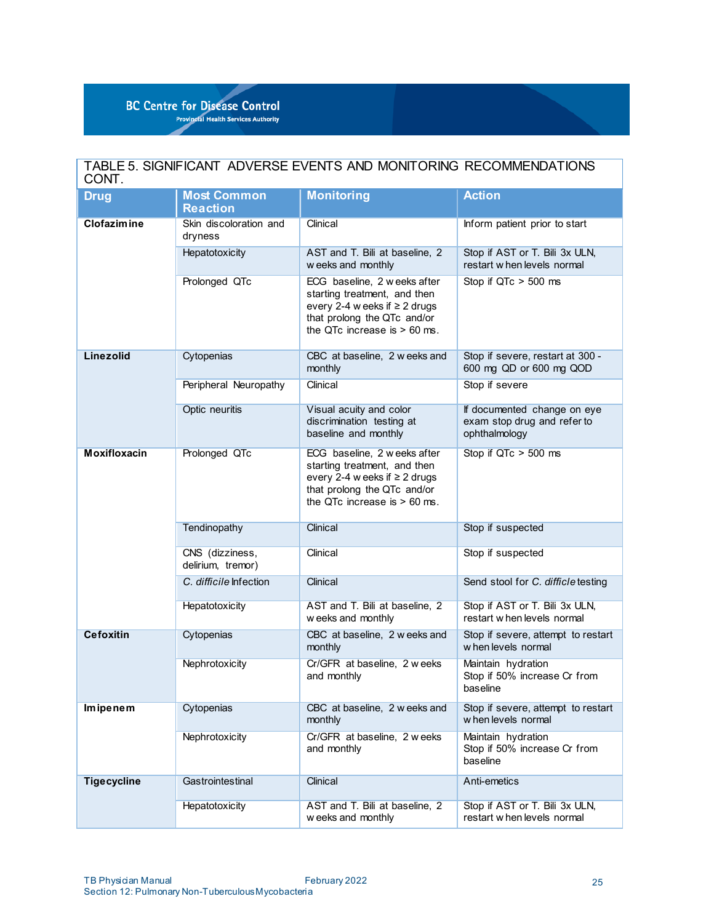| TABLE 5. SIGNIFICANT ADVERSE EVENTS AND MONITORING RECOMMENDATIONS<br>CONT. |                                       |                                                                                                                                                                     |                                                                             |  |  |
|-----------------------------------------------------------------------------|---------------------------------------|---------------------------------------------------------------------------------------------------------------------------------------------------------------------|-----------------------------------------------------------------------------|--|--|
| <b>Drug</b>                                                                 | <b>Most Common</b><br><b>Reaction</b> | <b>Monitoring</b>                                                                                                                                                   | <b>Action</b>                                                               |  |  |
| <b>Clofazimine</b>                                                          | Skin discoloration and<br>dryness     | Clinical                                                                                                                                                            | Inform patient prior to start                                               |  |  |
|                                                                             | Hepatotoxicity                        | AST and T. Bili at baseline, 2<br>w eeks and monthly                                                                                                                | Stop if AST or T. Bili 3x ULN,<br>restart when levels normal                |  |  |
|                                                                             | Prolonged QTc                         | ECG baseline, 2 w eeks after<br>starting treatment, and then<br>every 2-4 w eeks if $\geq 2$ drugs<br>that prolong the QTc and/or<br>the QTc increase is $> 60$ ms. | Stop if QTc > 500 ms                                                        |  |  |
| <b>Linezolid</b>                                                            | Cytopenias                            | CBC at baseline, 2 w eeks and<br>monthly                                                                                                                            | Stop if severe, restart at 300 -<br>600 mg QD or 600 mg QOD                 |  |  |
|                                                                             | Peripheral Neuropathy                 | Clinical                                                                                                                                                            | Stop if severe                                                              |  |  |
|                                                                             | Optic neuritis                        | Visual acuity and color<br>discrimination testing at<br>baseline and monthly                                                                                        | If documented change on eye<br>exam stop drug and refer to<br>ophthalmology |  |  |
| <b>Moxifloxacin</b>                                                         | Prolonged QTc                         | ECG baseline, 2 w eeks after<br>starting treatment, and then<br>every 2-4 w eeks if $\geq$ 2 drugs<br>that prolong the QTc and/or<br>the QTc increase is $> 60$ ms. | Stop if $QTc > 500$ ms                                                      |  |  |
|                                                                             | Tendinopathy                          | Clinical                                                                                                                                                            | Stop if suspected                                                           |  |  |
|                                                                             | CNS (dizziness,<br>delirium, tremor)  | Clinical                                                                                                                                                            | Stop if suspected                                                           |  |  |
|                                                                             | C. difficile Infection                | Clinical                                                                                                                                                            | Send stool for C. difficle testing                                          |  |  |
|                                                                             | Hepatotoxicity                        | AST and T. Bili at baseline, 2<br>w eeks and monthly                                                                                                                | Stop if AST or T. Bili 3x ULN,<br>restart w hen levels normal               |  |  |
| <b>Cefoxitin</b>                                                            | Cytopenias                            | CBC at baseline, 2 w eeks and<br>monthly                                                                                                                            | Stop if severe, attempt to restart<br>w hen levels normal                   |  |  |
|                                                                             | Nephrotoxicity                        | Cr/GFR at baseline, 2 weeks<br>and monthly                                                                                                                          | Maintain hydration<br>Stop if 50% increase Cr from<br>baseline              |  |  |
| Imipenem                                                                    | Cytopenias                            | CBC at baseline, 2 w eeks and<br>monthly                                                                                                                            | Stop if severe, attempt to restart<br>when levels normal                    |  |  |
|                                                                             | Nephrotoxicity                        | Cr/GFR at baseline, 2 weeks<br>and monthly                                                                                                                          | Maintain hydration<br>Stop if 50% increase Cr from<br>baseline              |  |  |
| <b>Tigecycline</b>                                                          | Gastrointestinal                      | Clinical                                                                                                                                                            | Anti-emetics                                                                |  |  |
|                                                                             | Hepatotoxicity                        | AST and T. Bili at baseline, 2<br>w eeks and monthly                                                                                                                | Stop if AST or T. Bili 3x ULN,<br>restart when levels normal                |  |  |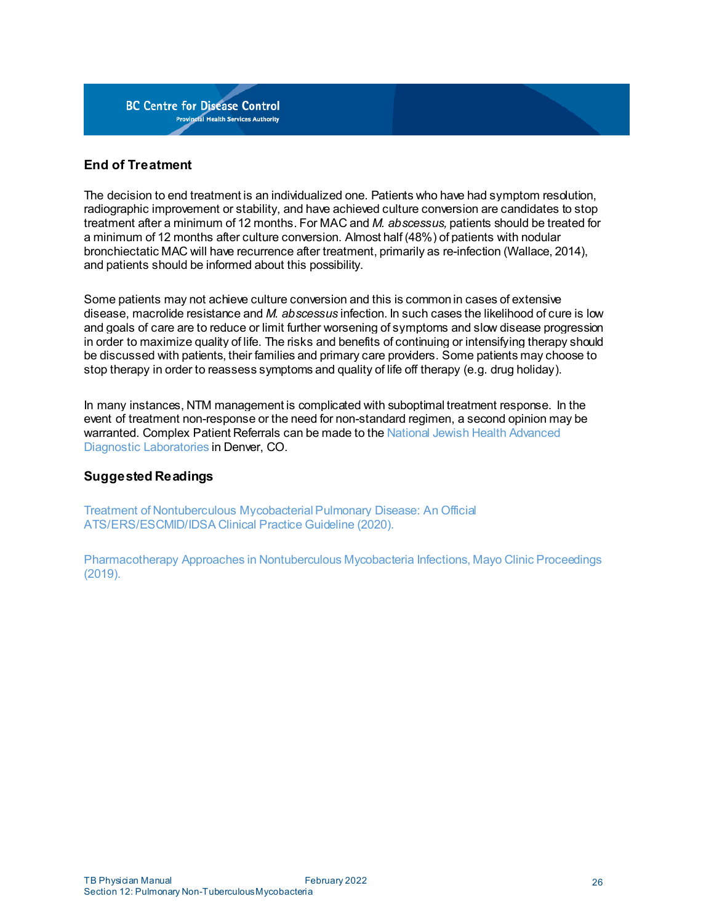

## <span id="page-25-0"></span>**End of Treatment**

The decision to end treatment is an individualized one. Patients who have had symptom resolution, radiographic improvement or stability, and have achieved culture conversion are candidates to stop treatment after a minimum of 12 months. For MAC and *M. abscessus,* patients should be treated for a minimum of 12 months after culture conversion. Almost half (48%) of patients with nodular bronchiectatic MAC will have recurrence after treatment, primarily as re-infection (Wallace, 2014), and patients should be informed about this possibility.

Some patients may not achieve culture conversion and this is commonin cases of extensive disease, macrolide resistance and *M. abscessus* infection. In such cases the likelihood of cure is low and goals of care are to reduce or limit further worsening of symptoms and slow disease progression in order to maximize quality of life. The risks and benefits of continuing or intensifying therapy should be discussed with patients, their families and primary care providers. Some patients may choose to stop therapy in order to reassess symptoms and quality of life off therapy (e.g. drug holiday).

In many instances, NTM management is complicated with suboptimal treatment response. In the event of treatment non-response or the need for non-standard regimen, a second opinion may be warranted. Complex Patient Referrals can be made to the National Jewish Health [Advanced](https://www.nationaljewish.org/conditions/ntm-nontuberculous-mycobacteria) Diagnostic [Laboratories](https://www.nationaljewish.org/conditions/ntm-nontuberculous-mycobacteria) in Denver, CO.

#### <span id="page-25-1"></span>**Suggested Readings**

Treatment of Nontuberculous [MycobacterialPulmonary](http://www.idsociety.org/practice-guideline/nontuberculous-mycobacterial-ntm-diseases/) Disease: An Official [ATS/ERS/ESCMID/IDSA](http://www.idsociety.org/practice-guideline/nontuberculous-mycobacterial-ntm-diseases/) Clinical Practice Guideline (2020).

[Pharmacotherapy](http://www.mayoclinicproceedings.org/action/showPdf?pii=S0025-6196%2818%2930994-7) Approaches in Nontuberculous Mycobacteria Infections, Mayo Clinic Proceedings (2019).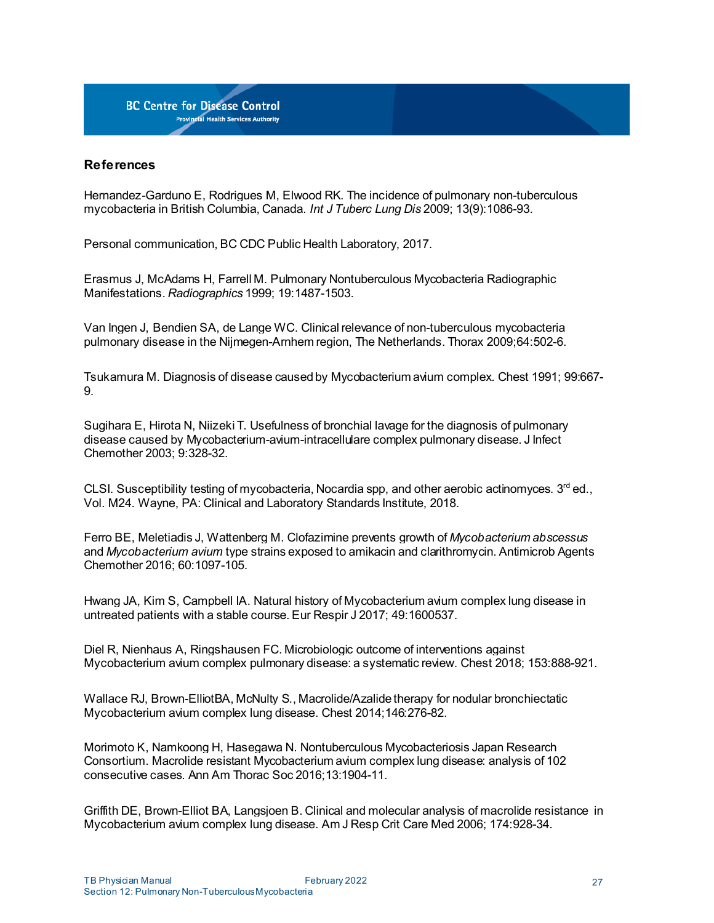

#### <span id="page-26-0"></span>**References**

Hernandez-Garduno E, Rodrigues M, Elwood RK. The incidence of pulmonary non-tuberculous mycobacteria in British Columbia, Canada. *Int J Tuberc Lung Dis* 2009; 13(9):1086-93.

Personal communication, BC CDC Public Health Laboratory, 2017.

Erasmus J, McAdams H, Farrell M. Pulmonary Nontuberculous Mycobacteria Radiographic Manifestations. *Radiographics* 1999; 19:1487-1503.

Van Ingen J, Bendien SA, de Lange WC. Clinicalrelevance of non-tuberculous mycobacteria pulmonary disease in the Nijmegen-Arnhem region, The Netherlands. Thorax 2009;64:502-6.

Tsukamura M. Diagnosis of disease causedby Mycobacterium avium complex. Chest 1991; 99:667- 9.

Sugihara E, Hirota N, Niizeki T. Usefulness of bronchial lavage for the diagnosis of pulmonary disease caused by Mycobacterium-avium-intracellulare complex pulmonary disease. J Infect Chemother 2003; 9:328-32.

CLSI. Susceptibility testing of mycobacteria. Nocardia spp, and other aerobic actinomyces.  $3<sup>rd</sup>$ ed., Vol. M24. Wayne, PA: Clinical and Laboratory Standards Institute, 2018.

Ferro BE, Meletiadis J, Wattenberg M. Clofazimine prevents growth of *Mycobacterium abscessus* and *Mycobacterium avium* type strains exposed to amikacin and clarithromycin. Antimicrob Agents Chemother 2016; 60:1097-105.

Hwang JA, Kim S, Campbell IA. Natural history of Mycobacterium avium complex lung disease in untreated patients with a stable course. Eur Respir J 2017; 49:1600537.

Diel R, Nienhaus A, Ringshausen FC. Microbiologic outcome of interventions against Mycobacterium avium complex pulmonary disease: a systematic review. Chest 2018; 153:888-921.

Wallace RJ, Brown-ElliotBA, McNulty S., Macrolide/Azalidetherapy for nodular bronchiectatic Mycobacterium avium complex lung disease. Chest 2014;146:276-82.

Morimoto K, Namkoong H, Hasegawa N. Nontuberculous Mycobacteriosis Japan Research Consortium. Macrolide resistant Mycobacterium avium complex lung disease: analysis of 102 consecutive cases. Ann Am Thorac Soc 2016;13:1904-11.

Griffith DE, Brown-Elliot BA, Langsjoen B. Clinical and molecular analysis of macrolide resistance in Mycobacterium avium complex lung disease. Am J Resp Crit Care Med 2006; 174:928-34.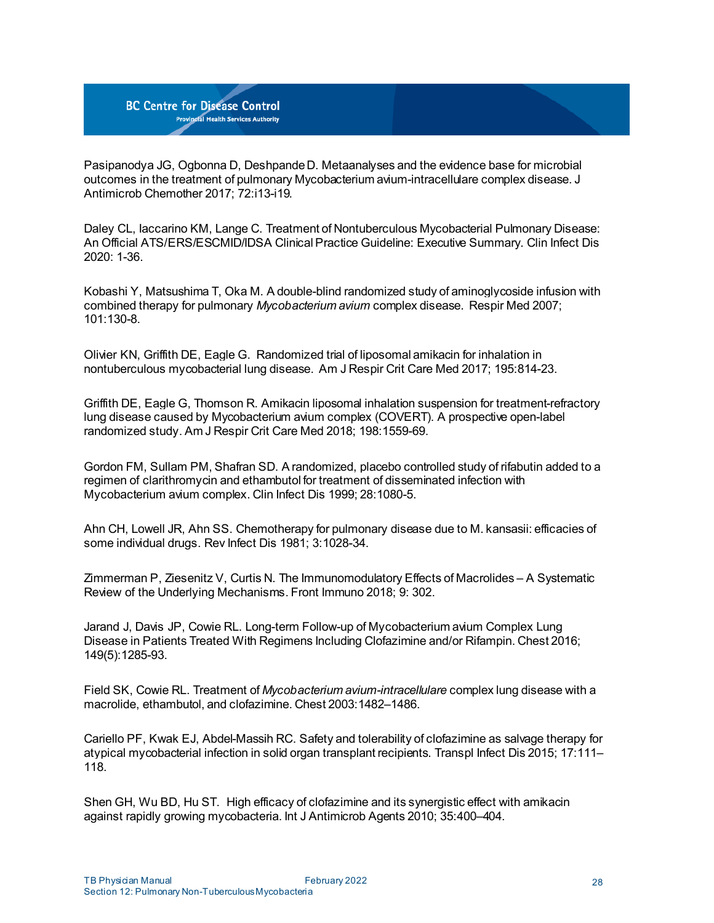Pasipanodya JG, Ogbonna D, DeshpandeD. Metaanalyses and the evidence base for microbial outcomes in the treatment of pulmonary Mycobacterium avium-intracellulare complex disease. J Antimicrob Chemother 2017; 72:i13-i19.

Daley CL, Iaccarino KM, Lange C. Treatment of Nontuberculous Mycobacterial Pulmonary Disease: An Official ATS/ERS/ESCMID/IDSA ClinicalPractice Guideline: Executive Summary. Clin Infect Dis 2020: 1-36.

Kobashi Y, Matsushima T, Oka M. A double-blind randomized study of aminoglycoside infusion with combined therapy for pulmonary *Mycobacterium avium* complex disease. Respir Med 2007; 101:130-8.

Olivier KN, Griffith DE, Eagle G. Randomized trial of liposomal amikacin for inhalation in nontuberculous mycobacterial lung disease. Am J Respir Crit Care Med 2017; 195:814-23.

Griffith DE, Eagle G, Thomson R. Amikacin liposomal inhalation suspension for treatment-refractory lung disease caused by Mycobacterium avium complex (COVERT). A prospective open-label randomized study. Am J Respir Crit Care Med 2018; 198:1559-69.

Gordon FM, Sullam PM, Shafran SD. A randomized, placebo controlled study of rifabutin added to a regimen of clarithromycin and ethambutol for treatment of disseminated infection with Mycobacterium avium complex. Clin Infect Dis 1999; 28:1080-5.

Ahn CH, Lowell JR, Ahn SS. Chemotherapy for pulmonary disease due to M. kansasii: efficacies of some individual drugs. Rev Infect Dis 1981; 3:1028-34.

Zimmerman P, Ziesenitz V, Curtis N. The Immunomodulatory Effects of Macrolides – A Systematic Review of the Underlying Mechanisms. Front Immuno 2018; 9: 302.

Jarand J, Davis JP, Cowie RL. Long-term Follow-up of Mycobacterium avium Complex Lung Disease in Patients Treated With Regimens Including Clofazimine and/or Rifampin. Chest 2016; 149(5):1285-93.

Field SK, Cowie RL. Treatment of *Mycobacterium avium-intracellulare* complex lung disease with a macrolide, ethambutol, and clofazimine. Chest 2003:1482–1486.

Cariello PF, Kwak EJ, Abdel-Massih RC. Safety and tolerability of clofazimine as salvage therapy for atypical mycobacterial infection in solid organ transplant recipients. Transpl Infect Dis 2015; 17:111– 118.

Shen GH, Wu BD, Hu ST. High efficacy of clofazimine and its synergistic effect with amikacin against rapidly growing mycobacteria. Int J Antimicrob Agents 2010; 35:400–404.